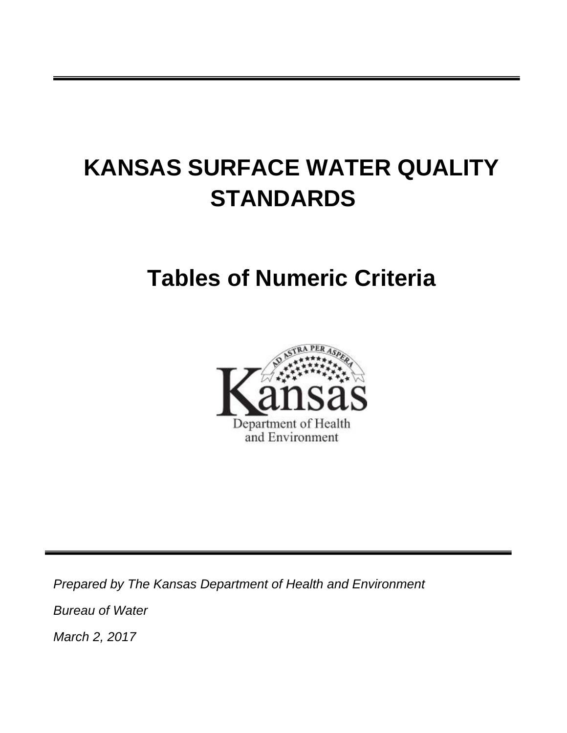# **KANSAS SURFACE WATER QUALITY STANDARDS**

## **Tables of Numeric Criteria**



*Prepared by The Kansas Department of Health and Environment Bureau of Water March 2, 2017*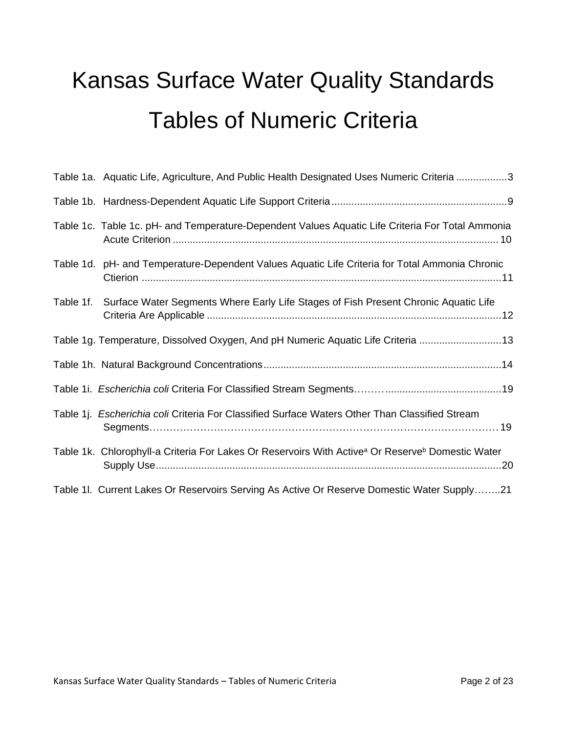# Kansas Surface Water Quality Standards Tables of Numeric Criteria

|           | Table 1a. Aquatic Life, Agriculture, And Public Health Designated Uses Numeric Criteria 3                                |
|-----------|--------------------------------------------------------------------------------------------------------------------------|
|           |                                                                                                                          |
|           | Table 1c. Table 1c. pH- and Temperature-Dependent Values Aquatic Life Criteria For Total Ammonia                         |
|           | Table 1d. pH- and Temperature-Dependent Values Aquatic Life Criteria for Total Ammonia Chronic                           |
| Table 1f. | Surface Water Segments Where Early Life Stages of Fish Present Chronic Aquatic Life                                      |
|           | Table 1g. Temperature, Dissolved Oxygen, And pH Numeric Aquatic Life Criteria 13                                         |
|           |                                                                                                                          |
|           |                                                                                                                          |
|           | Table 1j. Escherichia coli Criteria For Classified Surface Waters Other Than Classified Stream                           |
|           | Table 1k. Chlorophyll-a Criteria For Lakes Or Reservoirs With Active <sup>a</sup> Or Reserve <sup>b</sup> Domestic Water |
|           | Table 1I. Current Lakes Or Reservoirs Serving As Active Or Reserve Domestic Water Supply21                               |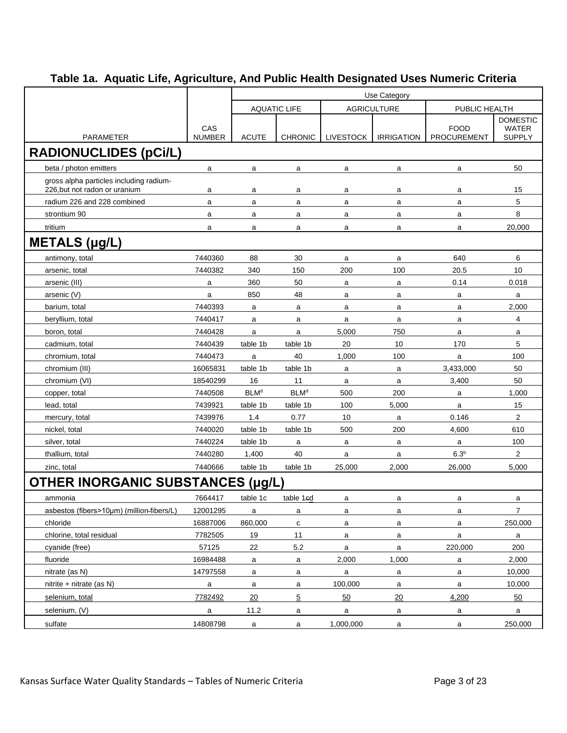|                                           |                      | Use Category           |                       |                    |                   |                            |                               |  |  |  |
|-------------------------------------------|----------------------|------------------------|-----------------------|--------------------|-------------------|----------------------------|-------------------------------|--|--|--|
|                                           |                      |                        | <b>AQUATIC LIFE</b>   | <b>AGRICULTURE</b> |                   | PUBLIC HEALTH              |                               |  |  |  |
|                                           |                      |                        |                       |                    |                   |                            | <b>DOMESTIC</b>               |  |  |  |
| <b>PARAMETER</b>                          | CAS<br><b>NUMBER</b> | <b>ACUTE</b>           | <b>CHRONIC</b>        | <b>LIVESTOCK</b>   | <b>IRRIGATION</b> | <b>FOOD</b><br>PROCUREMENT | <b>WATER</b><br><b>SUPPLY</b> |  |  |  |
| <b>RADIONUCLIDES (pCi/L)</b>              |                      |                        |                       |                    |                   |                            |                               |  |  |  |
| beta / photon emitters                    | a                    | a                      | a                     | a                  | a                 | a                          | 50                            |  |  |  |
| gross alpha particles including radium-   |                      |                        |                       |                    |                   |                            |                               |  |  |  |
| 226.but not radon or uranium              | a                    | a                      | a                     | a                  | a                 | a                          | 15                            |  |  |  |
| radium 226 and 228 combined               | a                    | a                      | a                     | a                  | a                 | a                          | 5                             |  |  |  |
| strontium 90                              | a                    | a                      | a                     | a                  | a                 | a                          | 8                             |  |  |  |
| tritium                                   | a                    | a                      | a                     | a                  | a                 | a                          | 20,000                        |  |  |  |
| <b>METALS (µg/L)</b>                      |                      |                        |                       |                    |                   |                            |                               |  |  |  |
| antimony, total                           | 7440360              | 88                     | 30                    | $\mathsf{a}$       | a                 | 640                        | 6                             |  |  |  |
| arsenic, total                            | 7440382              | 340                    | 150                   | 200                | 100               | 20.5                       | 10                            |  |  |  |
| arsenic (III)                             | a                    | 360                    | 50                    | a                  | a                 | 0.14                       | 0.018                         |  |  |  |
| arsenic (V)                               | a                    | 850                    | 48                    | a                  | a                 | a                          | a                             |  |  |  |
| barium, total                             | 7440393              | a                      | a                     | a                  | a                 | a                          | 2,000                         |  |  |  |
| beryllium, total                          | 7440417              | a                      | a                     | a                  | a                 | a                          | $\overline{4}$                |  |  |  |
| boron, total                              | 7440428              | a                      | a                     | 5,000              | 750               | a                          | a                             |  |  |  |
| cadmium, total                            | 7440439              | table 1b               | table 1b              | 20                 | 10                | 170                        | 5                             |  |  |  |
| chromium, total                           | 7440473              | a                      | 40                    | 1,000              | 100               | a                          | 100                           |  |  |  |
| chromium (III)                            | 16065831             | table 1b               | table 1b              | a                  | a                 | 3,433,000                  | 50                            |  |  |  |
| chromium (VI)                             | 18540299             | 16                     | 11                    | a                  | a                 | 3,400                      | 50                            |  |  |  |
| copper, total                             | 7440508              | <b>BLM<sup>d</sup></b> | <b>BLMd</b>           | 500                | 200               | a                          | 1,000                         |  |  |  |
| lead, total                               | 7439921              | table 1b               | table 1b              | 100                | 5,000             | a                          | 15                            |  |  |  |
| mercury, total                            | 7439976              | 1.4                    | 0.77                  | 10                 | a                 | 0.146                      | $\mathbf{2}$                  |  |  |  |
| nickel, total                             | 7440020              | table 1b               | table 1b              | 500                | 200               | 4,600                      | 610                           |  |  |  |
| silver, total                             | 7440224              | table 1b               | a                     | a                  | a                 | a                          | 100                           |  |  |  |
| thallium, total                           | 7440280              | 1,400                  | 40                    | a                  | a                 | 6.3 <sup>b</sup>           | $\overline{2}$                |  |  |  |
| zinc, total                               | 7440666              | table 1b               | table 1b              | 25.000             | 2,000             | 26,000                     | 5,000                         |  |  |  |
| <b>OTHER INORGANIC SUBSTANCES</b>         |                      | ug/L)                  |                       |                    |                   |                            |                               |  |  |  |
| ammonia                                   | 7664417              | table 1c               | table 1 <sub>ed</sub> | a                  | а                 | a                          | a                             |  |  |  |
| asbestos (fibers>10µm) (million-fibers/L) | 12001295             | a                      | a                     | a                  | a                 | a                          | $\overline{7}$                |  |  |  |
| chloride                                  | 16887006             | 860,000                | c                     | a                  | a                 | a                          | 250,000                       |  |  |  |
| chlorine, total residual                  | 7782505              | 19                     | 11                    | a                  | a                 | $\mathsf{a}$               | $\mathsf{a}$                  |  |  |  |
| cyanide (free)                            | 57125                | 22                     | $5.2\,$               | a                  | a                 | 220,000                    | 200                           |  |  |  |
| fluoride                                  | 16984488             | a                      | a                     | 2,000              | 1,000             | a                          | 2,000                         |  |  |  |
| nitrate (as N)                            | 14797558             | a                      | a                     | a                  | a                 | a                          | 10,000                        |  |  |  |
| nitrite + nitrate (as $N$ )               | a                    | $\mathsf{a}$           | a                     | 100,000            | a                 | $\mathsf{a}$               | 10,000                        |  |  |  |
| selenium, total                           | 7782492              | 20                     | 5                     | 50                 | 20                | 4,200                      | 50                            |  |  |  |
| selenium, (V)                             | a                    | 11.2                   | a                     | a                  | a                 | a                          | a                             |  |  |  |
| sulfate                                   | 14808798             | $\mathsf{a}$           | a                     | 1,000,000          | a                 | $\mathsf{a}$               | 250,000                       |  |  |  |
|                                           |                      |                        |                       |                    |                   |                            |                               |  |  |  |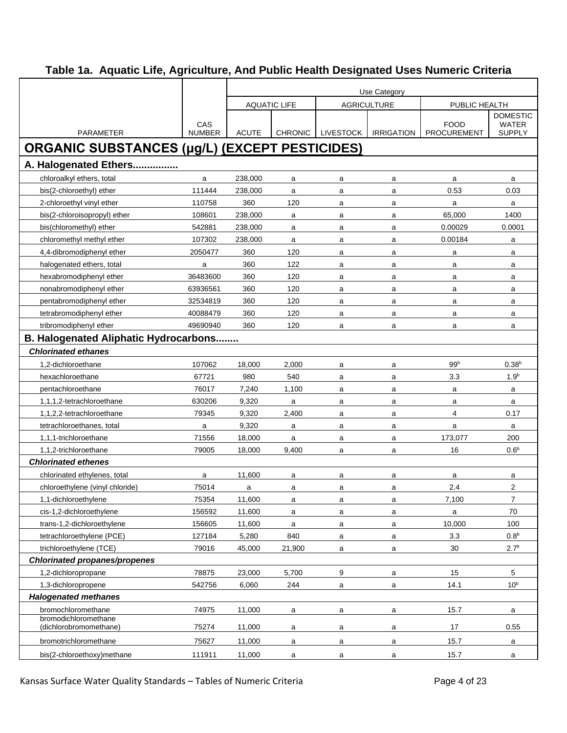|                                                      |                      | Use Category |                     |                  |                    |                                   |                               |  |  |  |  |
|------------------------------------------------------|----------------------|--------------|---------------------|------------------|--------------------|-----------------------------------|-------------------------------|--|--|--|--|
|                                                      |                      |              | <b>AQUATIC LIFE</b> |                  | <b>AGRICULTURE</b> | PUBLIC HEALTH                     |                               |  |  |  |  |
|                                                      |                      |              |                     |                  |                    |                                   | <b>DOMESTIC</b>               |  |  |  |  |
| <b>PARAMETER</b>                                     | CAS<br><b>NUMBER</b> | <b>ACUTE</b> | <b>CHRONIC</b>      | <b>LIVESTOCK</b> | <b>IRRIGATION</b>  | <b>FOOD</b><br><b>PROCUREMENT</b> | <b>WATER</b><br><b>SUPPLY</b> |  |  |  |  |
|                                                      |                      |              |                     |                  |                    |                                   |                               |  |  |  |  |
| <b>ORGANIC SUBSTANCES (µg/L) (EXCEPT PESTICIDES)</b> |                      |              |                     |                  |                    |                                   |                               |  |  |  |  |
| A. Halogenated Ethers                                |                      |              |                     |                  |                    |                                   |                               |  |  |  |  |
| chloroalkyl ethers, total                            | a                    | 238,000      | a                   | a                | a                  | a                                 | a                             |  |  |  |  |
| bis(2-chloroethyl) ether                             | 111444               | 238,000      | a                   | a                | a                  | 0.53                              | 0.03                          |  |  |  |  |
| 2-chloroethyl vinyl ether                            | 110758               | 360          | 120                 | a                | a                  | a                                 | a                             |  |  |  |  |
| bis(2-chloroisopropyl) ether                         | 108601               | 238,000      | a                   | a                | a                  | 65,000                            | 1400                          |  |  |  |  |
| bis(chloromethyl) ether                              | 542881               | 238,000      | a                   | a                | a                  | 0.00029                           | 0.0001                        |  |  |  |  |
| chloromethyl methyl ether                            | 107302               | 238,000      | a                   | a                | a                  | 0.00184                           | a                             |  |  |  |  |
| 4,4-dibromodiphenyl ether                            | 2050477              | 360          | 120                 | a                | a                  | a                                 | a                             |  |  |  |  |
| halogenated ethers, total                            | a                    | 360          | 122                 | a                | a                  | a                                 | a                             |  |  |  |  |
| hexabromodiphenyl ether                              | 36483600             | 360          | 120                 | a                | a                  | a                                 | a                             |  |  |  |  |
| nonabromodiphenyl ether                              | 63936561             | 360          | 120                 | a                | a                  | a                                 | a                             |  |  |  |  |
| pentabromodiphenyl ether                             | 32534819             | 360          | 120                 | a                | a                  | a                                 | a                             |  |  |  |  |
| tetrabromodiphenyl ether                             | 40088479             | 360          | 120                 | a                | a                  | a                                 | a                             |  |  |  |  |
| tribromodiphenyl ether                               | 49690940             | 360          | 120                 | a                | a                  | a                                 | a                             |  |  |  |  |
| <b>B. Halogenated Aliphatic Hydrocarbons</b>         |                      |              |                     |                  |                    |                                   |                               |  |  |  |  |
| <b>Chlorinated ethanes</b>                           |                      |              |                     |                  |                    |                                   |                               |  |  |  |  |
| 1,2-dichloroethane                                   | 107062               | 18,000       | 2,000               | a                | a                  | 99 <sup>b</sup>                   | 0.38 <sup>b</sup>             |  |  |  |  |
| hexachloroethane                                     | 67721                | 980          | 540                 | a                | a                  | 3.3                               | 1.9 <sup>b</sup>              |  |  |  |  |
| pentachloroethane                                    | 76017                | 7,240        | 1,100               | a                | a                  | a                                 | a                             |  |  |  |  |
| 1,1,1,2-tetrachloroethane                            | 630206               | 9,320        | a                   | a                | a                  | a                                 | a                             |  |  |  |  |
| 1,1,2,2-tetrachloroethane                            | 79345                | 9,320        | 2,400               | a                | a                  | 4                                 | 0.17                          |  |  |  |  |
| tetrachloroethanes, total                            | a                    | 9,320        | a                   | a                | a                  | a                                 | a                             |  |  |  |  |
| 1,1,1-trichloroethane                                | 71556                | 18,000       | a                   | a                | a                  | 173,077                           | 200                           |  |  |  |  |
| 1,1,2-trichloroethane                                | 79005                | 18,000       | 9,400               | a                | a                  | 16                                | 0.6 <sup>b</sup>              |  |  |  |  |
| <b>Chlorinated ethenes</b>                           |                      |              |                     |                  |                    |                                   |                               |  |  |  |  |
| chlorinated ethylenes, total                         | a                    | 11,600       | a                   | a                | a                  | a                                 | a                             |  |  |  |  |
| chloroethylene (vinyl chloride)                      | 75014                | a            | a                   | a                | a                  | 2.4                               | 2                             |  |  |  |  |
| 1,1-dichloroethylene                                 | 75354                | 11,600       | a                   | a                | a                  | 7,100                             | 7                             |  |  |  |  |
| cis-1,2-dichloroethylene                             | 156592               | 11,600       | a                   | a                | a                  | $\mathsf a$                       | 70                            |  |  |  |  |
| trans-1,2-dichloroethylene                           | 156605               | 11,600       | a                   | a                | a                  | 10,000                            | 100                           |  |  |  |  |
| tetrachloroethylene (PCE)                            | 127184               | 5,280        | 840                 | a                | a                  | 3.3                               | 0.8 <sup>b</sup>              |  |  |  |  |
| trichloroethylene (TCE)                              | 79016                | 45,000       | 21,900              | a                | a                  | 30                                | 2.7 <sup>b</sup>              |  |  |  |  |
| <b>Chlorinated propanes/propenes</b>                 |                      |              |                     |                  |                    |                                   |                               |  |  |  |  |
| 1,2-dichloropropane                                  | 78875                | 23,000       | 5,700               | 9                | a                  | 15                                | 5                             |  |  |  |  |
| 1,3-dichloropropene                                  | 542756               | 6,060        | 244                 | a                | $\mathsf{a}$       | 14.1                              | 10 <sup>b</sup>               |  |  |  |  |
| <b>Halogenated methanes</b>                          |                      |              |                     |                  |                    |                                   |                               |  |  |  |  |
| bromochloromethane                                   | 74975                | 11,000       | a                   | a                | a                  | 15.7                              | a                             |  |  |  |  |
| bromodichloromethane<br>(dichlorobromomethane)       | 75274                | 11,000       | a                   | a                | a                  | 17                                | 0.55                          |  |  |  |  |
| bromotrichloromethane                                | 75627                | 11,000       | a                   | a                | a                  | 15.7                              | a                             |  |  |  |  |
| bis(2-chloroethoxy)methane                           | 111911               | 11,000       | a                   | a                | a                  | 15.7                              | a                             |  |  |  |  |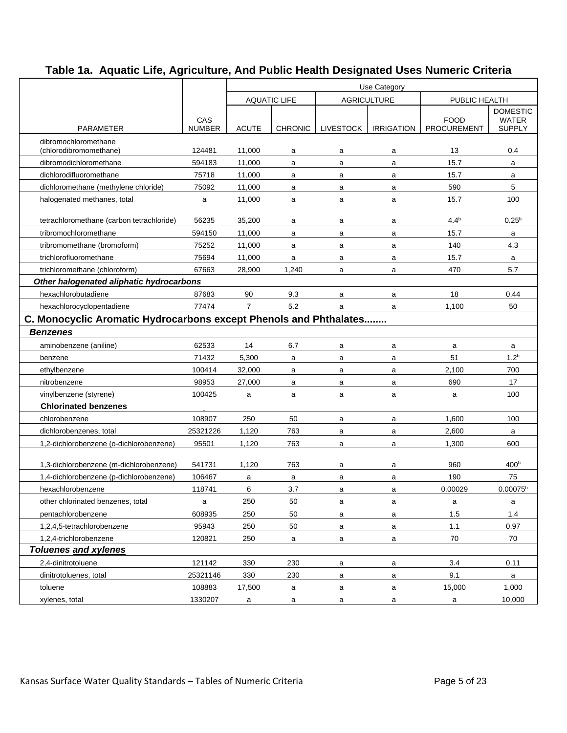|                                                                   |                      | Use Category   |                     |                  |                                     |                                   |                               |  |  |
|-------------------------------------------------------------------|----------------------|----------------|---------------------|------------------|-------------------------------------|-----------------------------------|-------------------------------|--|--|
|                                                                   |                      |                | <b>AQUATIC LIFE</b> |                  | <b>AGRICULTURE</b><br>PUBLIC HEALTH |                                   |                               |  |  |
|                                                                   |                      |                |                     |                  |                                     |                                   | <b>DOMESTIC</b>               |  |  |
| <b>PARAMETER</b>                                                  | CAS<br><b>NUMBER</b> | <b>ACUTE</b>   | <b>CHRONIC</b>      | <b>LIVESTOCK</b> | <b>IRRIGATION</b>                   | <b>FOOD</b><br><b>PROCUREMENT</b> | <b>WATER</b><br><b>SUPPLY</b> |  |  |
| dibromochloromethane                                              |                      |                |                     |                  |                                     |                                   |                               |  |  |
| (chlorodibromomethane)                                            | 124481               | 11,000         | a                   | a                | a                                   | 13                                | 0.4                           |  |  |
| dibromodichloromethane                                            | 594183               | 11,000         | a                   | a                | a                                   | 15.7                              | a                             |  |  |
| dichlorodifluoromethane                                           | 75718                | 11,000         | a                   | a                | a                                   | 15.7                              | a                             |  |  |
| dichloromethane (methylene chloride)                              | 75092                | 11,000         | a                   | a                | a                                   | 590                               | 5                             |  |  |
| halogenated methanes, total                                       | a                    | 11,000         | a                   | a                | a                                   | 15.7                              | 100                           |  |  |
| tetrachloromethane (carbon tetrachloride)                         | 56235                | 35,200         | a                   | a                | a                                   | $4.4^{b}$                         | $0.25^{b}$                    |  |  |
| tribromochloromethane                                             | 594150               | 11,000         | a                   | a                | a                                   | 15.7                              | a                             |  |  |
| tribromomethane (bromoform)                                       | 75252                | 11,000         | a                   | a                | a                                   | 140                               | 4.3                           |  |  |
| trichlorofluoromethane                                            | 75694                | 11,000         | a                   | a                | a                                   | 15.7                              | a                             |  |  |
| trichloromethane (chloroform)                                     | 67663                | 28,900         | 1,240               | a                | a                                   | 470                               | 5.7                           |  |  |
| Other halogenated aliphatic hydrocarbons                          |                      |                |                     |                  |                                     |                                   |                               |  |  |
| hexachlorobutadiene                                               | 87683                | 90             | 9.3                 | a                | a                                   | 18                                | 0.44                          |  |  |
| hexachlorocyclopentadiene                                         | 77474                | $\overline{7}$ | 5.2                 | a                | a                                   | 1,100                             | 50                            |  |  |
| C. Monocyclic Aromatic Hydrocarbons except Phenols and Phthalates |                      |                |                     |                  |                                     |                                   |                               |  |  |
| <b>Benzenes</b>                                                   |                      |                |                     |                  |                                     |                                   |                               |  |  |
| aminobenzene (aniline)                                            | 62533                | 14             | 6.7                 | a                | a                                   | a                                 | a                             |  |  |
| benzene                                                           | 71432                | 5,300          | a                   | a                | a                                   | 51                                | 1.2 <sup>b</sup>              |  |  |
| ethylbenzene                                                      | 100414               | 32,000         | a                   | a                | a                                   | 2,100                             | 700                           |  |  |
| nitrobenzene                                                      | 98953                | 27,000         | a                   | a                | a                                   | 690                               | 17                            |  |  |
| vinylbenzene (styrene)                                            | 100425               | a              | a                   | a                | a                                   | a                                 | 100                           |  |  |
| <b>Chlorinated benzenes</b>                                       |                      |                |                     |                  |                                     |                                   |                               |  |  |
| chlorobenzene                                                     | 108907               | 250            | 50                  | a                | a                                   | 1,600                             | 100                           |  |  |
| dichlorobenzenes, total                                           | 25321226             | 1,120          | 763                 | a                | a                                   | 2,600                             | a                             |  |  |
| 1,2-dichlorobenzene (o-dichlorobenzene)                           | 95501                | 1,120          | 763                 | a                | a                                   | 1,300                             | 600                           |  |  |
| 1,3-dichlorobenzene (m-dichlorobenzene)                           | 541731               | 1,120          | 763                 | a                | a                                   | 960                               | 400 <sup>b</sup>              |  |  |
| 1,4-dichlorobenzene (p-dichlorobenzene)                           | 106467               | a              | a                   | a                | a                                   | 190                               | 75                            |  |  |
| hexachlorobenzene                                                 | 118741               | 6              | 3.7                 | a                | a                                   | 0.00029                           | $0.00075^b$                   |  |  |
| other chlorinated benzenes, total                                 | a                    | 250            | 50                  | a                | a                                   | a                                 | a                             |  |  |
| pentachlorobenzene                                                | 608935               | 250            | 50                  | a                | a                                   | 1.5                               | 1.4                           |  |  |
| 1,2,4,5-tetrachlorobenzene                                        | 95943                | 250            | 50                  | a                | a                                   | 1.1                               | 0.97                          |  |  |
| 1,2,4-trichlorobenzene                                            | 120821               | 250            | a                   | a                | a                                   | 70                                | 70                            |  |  |
| <b>Toluenes and xylenes</b>                                       |                      |                |                     |                  |                                     |                                   |                               |  |  |
| 2,4-dinitrotoluene                                                | 121142               | 330            | 230                 | a                | a                                   | 3.4                               | 0.11                          |  |  |
| dinitrotoluenes, total                                            | 25321146             | 330            | 230                 | a                | a                                   | 9.1                               | a                             |  |  |
| toluene                                                           | 108883               | 17,500         | a                   | a                | a                                   | 15,000                            | 1,000                         |  |  |
| xylenes, total                                                    | 1330207              | a              | a                   | a                | a                                   | a                                 | 10,000                        |  |  |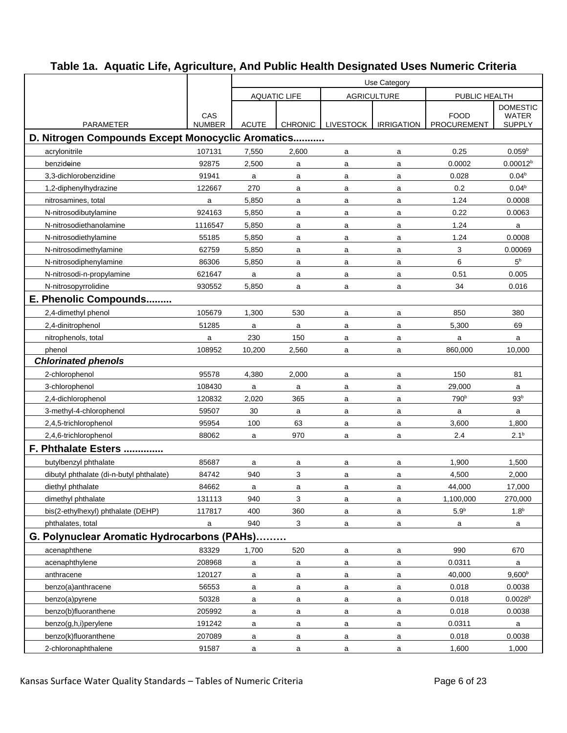|                                                   |                      |              | <b>AQUATIC LIFE</b> |                  | <b>AGRICULTURE</b> | PUBLIC HEALTH                     |                                                  |  |
|---------------------------------------------------|----------------------|--------------|---------------------|------------------|--------------------|-----------------------------------|--------------------------------------------------|--|
| <b>PARAMETER</b>                                  | CAS<br><b>NUMBER</b> | <b>ACUTE</b> | <b>CHRONIC</b>      | <b>LIVESTOCK</b> | <b>IRRIGATION</b>  | <b>FOOD</b><br><b>PROCUREMENT</b> | <b>DOMESTIC</b><br><b>WATER</b><br><b>SUPPLY</b> |  |
| D. Nitrogen Compounds Except Monocyclic Aromatics |                      |              |                     |                  |                    |                                   |                                                  |  |
| acrylonitrile                                     | 107131               | 7,550        | 2,600               | a                | a                  | 0.25                              | $0.059^{b}$                                      |  |
| benzideine                                        | 92875                | 2,500        | a                   | a                | a                  | 0.0002                            | 0.00012 <sup>b</sup>                             |  |
| 3,3-dichlorobenzidine                             | 91941                | a            | a                   | a                | a                  | 0.028                             | 0.04 <sup>b</sup>                                |  |
| 1,2-diphenylhydrazine                             | 122667               | 270          | a                   | a                | a                  | 0.2                               | 0.04 <sup>b</sup>                                |  |
| nitrosamines, total                               | a                    | 5,850        | a                   | a                | a                  | 1.24                              | 0.0008                                           |  |
| N-nitrosodibutylamine                             | 924163               | 5,850        | a                   | a                | a                  | 0.22                              | 0.0063                                           |  |
| N-nitrosodiethanolamine                           | 1116547              | 5,850        | a                   | a                | a                  | 1.24                              | a                                                |  |
| N-nitrosodiethylamine                             | 55185                | 5,850        | a                   | a                | a                  | 1.24                              | 0.0008                                           |  |
| N-nitrosodimethylamine                            | 62759                | 5,850        | a                   | a                | a                  | 3                                 | 0.00069                                          |  |
| N-nitrosodiphenylamine                            | 86306                | 5,850        | a                   | a                | a                  | 6                                 | 5 <sup>b</sup>                                   |  |
| N-nitrosodi-n-propylamine                         | 621647               | a            | a                   | a                | a                  | 0.51                              | 0.005                                            |  |
| N-nitrosopyrrolidine                              | 930552               | 5,850        | a                   | a                | a                  | 34                                | 0.016                                            |  |
| E. Phenolic Compounds                             |                      |              |                     |                  |                    |                                   |                                                  |  |
| 2,4-dimethyl phenol                               | 105679               | 1,300        | 530                 | a                | a                  | 850                               | 380                                              |  |
| 2,4-dinitrophenol                                 | 51285                | a            | a                   | a                | a                  | 5,300                             | 69                                               |  |
| nitrophenols, total                               | a                    | 230          | 150                 | a                | a                  | a                                 | a                                                |  |
| phenol                                            | 108952               | 10,200       | 2,560               | a                | a                  | 860,000                           | 10,000                                           |  |
| <b>Chlorinated phenols</b>                        |                      |              |                     |                  |                    |                                   |                                                  |  |
| 2-chlorophenol                                    | 95578                | 4,380        | 2,000               | a                | a                  | 150                               | 81                                               |  |
| 3-chlorophenol                                    | 108430               | a            | a                   | a                | a                  | 29,000                            | a                                                |  |
| 2,4-dichlorophenol                                | 120832               | 2,020        | 365                 | a                | a                  | 790 <sup>b</sup>                  | 93 <sup>b</sup>                                  |  |
| 3-methyl-4-chlorophenol                           | 59507                | 30           | a                   | a                | a                  | a                                 | a                                                |  |
| 2,4,5-trichlorophenol                             | 95954                | 100          | 63                  | a                | a                  | 3,600                             | 1,800                                            |  |
| 2,4,6-trichlorophenol                             | 88062                | a            | 970                 | a                | a                  | 2.4                               | $2.1^{b}$                                        |  |
| F. Phthalate Esters                               |                      |              |                     |                  |                    |                                   |                                                  |  |
| butylbenzyl phthalate                             | 85687                | a            | a                   | a                | a                  | 1,900                             | 1,500                                            |  |
| dibutyl phthalate (di-n-butyl phthalate)          | 84742                | 940          | 3                   | a                | a                  | 4,500                             | 2,000                                            |  |
| diethyl phthalate                                 | 84662                | a            | a                   | a                | a                  | 44,000                            | 17,000                                           |  |
| dimethyl phthalate                                | 131113               | 940          | 3                   | a                | a                  | 1,100,000                         | 270,000                                          |  |
| bis(2-ethylhexyl) phthalate (DEHP)                | 117817               | 400          | 360                 | a                | a                  | 5.9 <sup>b</sup>                  | 1.8 <sup>b</sup>                                 |  |
| phthalates, total                                 | a                    | 940          | 3                   | a                | a                  | a                                 | a                                                |  |
| G. Polynuclear Aromatic Hydrocarbons (PAHs)       |                      |              |                     |                  |                    |                                   |                                                  |  |
| acenaphthene                                      | 83329                | 1,700        | 520                 | a                | a                  | 990                               | 670                                              |  |
| acenaphthylene                                    | 208968               | a            | a                   | a                | a                  | 0.0311                            | a                                                |  |
| anthracene                                        | 120127               | a            | a                   | a                | a                  | 40,000                            | 9,600 <sup>b</sup>                               |  |
| benzo(a)anthracene                                | 56553                | a            | a                   | a                | a                  | 0.018                             | 0.0038                                           |  |
| benzo(a)pyrene                                    | 50328                | a            | a                   | a                | a                  | 0.018                             | 0.0028 <sup>b</sup>                              |  |
| benzo(b)fluoranthene                              | 205992               | a            | a                   | a                | $\mathsf{a}$       | 0.018                             | 0.0038                                           |  |
| benzo(g,h,i)perylene                              | 191242               | a            | a                   | a                | a                  | 0.0311                            | a                                                |  |
| benzo(k)fluoranthene                              | 207089               | a            | a                   | a                | a                  | 0.018                             | 0.0038                                           |  |
| 2-chloronaphthalene                               | 91587                | a            | a                   | a                | a                  | 1,600                             | 1,000                                            |  |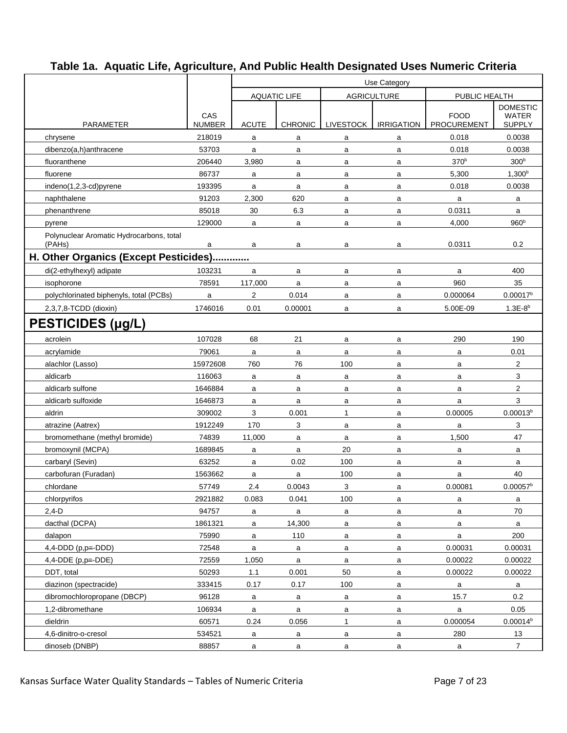|                                                    |                      |                |                     |                  | Use Category       |                                   |                                                  |  |  |  |
|----------------------------------------------------|----------------------|----------------|---------------------|------------------|--------------------|-----------------------------------|--------------------------------------------------|--|--|--|
|                                                    |                      |                | <b>AQUATIC LIFE</b> |                  | <b>AGRICULTURE</b> | PUBLIC HEALTH                     |                                                  |  |  |  |
| <b>PARAMETER</b>                                   | CAS<br><b>NUMBER</b> | <b>ACUTE</b>   | <b>CHRONIC</b>      | <b>LIVESTOCK</b> | <b>IRRIGATION</b>  | <b>FOOD</b><br><b>PROCUREMENT</b> | <b>DOMESTIC</b><br><b>WATER</b><br><b>SUPPLY</b> |  |  |  |
| chrysene                                           | 218019               | a              | a                   | a                | a                  | 0.018                             | 0.0038                                           |  |  |  |
| dibenzo(a,h)anthracene                             | 53703                | a              | a                   | a                | a                  | 0.018                             | 0.0038                                           |  |  |  |
| fluoranthene                                       | 206440               | 3,980          | a                   | a                | a                  | 370 <sup>b</sup>                  | 300 <sup>b</sup>                                 |  |  |  |
| fluorene                                           | 86737                | a              | a                   | a                | a                  | 5,300                             | $1,300^{b}$                                      |  |  |  |
| indeno(1,2,3-cd)pyrene                             | 193395               | a              | a                   | a                | a                  | 0.018                             | 0.0038                                           |  |  |  |
| naphthalene                                        | 91203                | 2,300          | 620                 | a                | a                  | a                                 | a                                                |  |  |  |
| phenanthrene                                       | 85018                | 30             | 6.3                 | a                | a                  | 0.0311                            | a                                                |  |  |  |
| pyrene                                             | 129000               | a              | a                   | a                | a                  | 4,000                             | 960 <sup>b</sup>                                 |  |  |  |
| Polynuclear Aromatic Hydrocarbons, total<br>(PAHs) | a                    | a              | a                   | a                | a                  | 0.0311                            | 0.2                                              |  |  |  |
| H. Other Organics (Except Pesticides)              |                      |                |                     |                  |                    |                                   |                                                  |  |  |  |
| di(2-ethylhexyl) adipate                           | 103231               | a              | a                   | a                | a                  | a                                 | 400                                              |  |  |  |
| isophorone                                         | 78591                | 117,000        | a                   | a                | a                  | 960                               | 35                                               |  |  |  |
| polychlorinated biphenyls, total (PCBs)            | a                    | $\overline{2}$ | 0.014               | a                | a                  | 0.000064                          | 0.00017 <sup>b</sup>                             |  |  |  |
| 2,3,7,8-TCDD (dioxin)                              | 1746016              | 0.01           | 0.00001             | a                | a                  | 5.00E-09                          | $1.3E-8^{b}$                                     |  |  |  |
| PESTICIDES (µg/L)                                  |                      |                |                     |                  |                    |                                   |                                                  |  |  |  |
| acrolein                                           | 107028               | 68             | 21                  | a                | a                  | 290                               | 190                                              |  |  |  |
| acrylamide                                         | 79061                | a              | a                   | a                | a                  | a                                 | 0.01                                             |  |  |  |
| alachlor (Lasso)                                   | 15972608             | 760            | 76                  | 100              | a                  | a                                 | $\overline{c}$                                   |  |  |  |
| aldicarb                                           | 116063               | a              | a                   | a                | a                  | a                                 | 3                                                |  |  |  |
| aldicarb sulfone                                   | 1646884              | a              | a                   | a                | a                  | a                                 | $\overline{2}$                                   |  |  |  |
| aldicarb sulfoxide                                 | 1646873              | a              | $\mathsf{a}$        | a                | a                  | a                                 | 3                                                |  |  |  |
| aldrin                                             | 309002               | 3              | 0.001               | $\mathbf{1}$     | a                  | 0.00005                           | 0.00013 <sup>b</sup>                             |  |  |  |
| atrazine (Aatrex)                                  | 1912249              | 170            | 3                   | a                | a                  | a                                 | 3                                                |  |  |  |
| bromomethane (methyl bromide)                      | 74839                | 11,000         | a                   | a                | a                  | 1,500                             | 47                                               |  |  |  |
| bromoxynil (MCPA)                                  | 1689845              | a              | a                   | 20               | a                  | a                                 | a                                                |  |  |  |
| carbaryl (Sevin)                                   | 63252                | a              | 0.02                | 100              | a                  | a                                 | a                                                |  |  |  |
| carbofuran (Furadan)                               | 1563662              | a              | a                   | 100              | a                  | a                                 | 40                                               |  |  |  |
| chlordane                                          | 57749                | 2.4            | 0.0043              | 3                | a                  | 0.00081                           | 0.00057 <sup>b</sup>                             |  |  |  |
| chlorpyrifos                                       | 2921882              | 0.083          | 0.041               | 100              | a                  | a                                 | a                                                |  |  |  |
| $2,4-D$                                            | 94757                | a              | a                   | a                | a                  | a                                 | 70                                               |  |  |  |
| dacthal (DCPA)                                     | 1861321              | a              | 14,300              | a                | a                  | a                                 | a                                                |  |  |  |
| dalapon                                            | 75990                | a              | 110                 | a                | a                  | $\mathsf{a}$                      | 200                                              |  |  |  |
| $4,4$ -DDD (p,p=-DDD)                              | 72548                | a              | a                   | a                | $\mathsf{a}$       | 0.00031                           | 0.00031                                          |  |  |  |
| $4.4$ -DDE (p.p=-DDE)                              | 72559                | 1,050          | $\mathsf{a}$        | a                | a                  | 0.00022                           | 0.00022                                          |  |  |  |
| DDT, total                                         | 50293                | 1.1            | 0.001               | 50               | a                  | 0.00022                           | 0.00022                                          |  |  |  |
| diazinon (spectracide)                             | 333415               | 0.17           | 0.17                | 100              | a                  | a                                 | $\mathsf{a}$                                     |  |  |  |
| dibromochloropropane (DBCP)                        | 96128                | a              | a                   | a                | a                  | 15.7                              | 0.2                                              |  |  |  |
| 1,2-dibromethane                                   | 106934               | a              | a                   | a                | a                  | a                                 | 0.05                                             |  |  |  |
| dieldrin                                           | 60571                | 0.24           | 0.056               | $\mathbf{1}$     | a                  | 0.000054                          | 0.00014 <sup>b</sup>                             |  |  |  |
| 4,6-dinitro-o-cresol                               | 534521               | a              | a                   | a                | a                  | 280                               | 13                                               |  |  |  |
| dinoseb (DNBP)                                     | 88857                | $\mathsf{a}$   | $\mathsf{a}$        | a                | $\mathsf{a}$       | a                                 | $\overline{7}$                                   |  |  |  |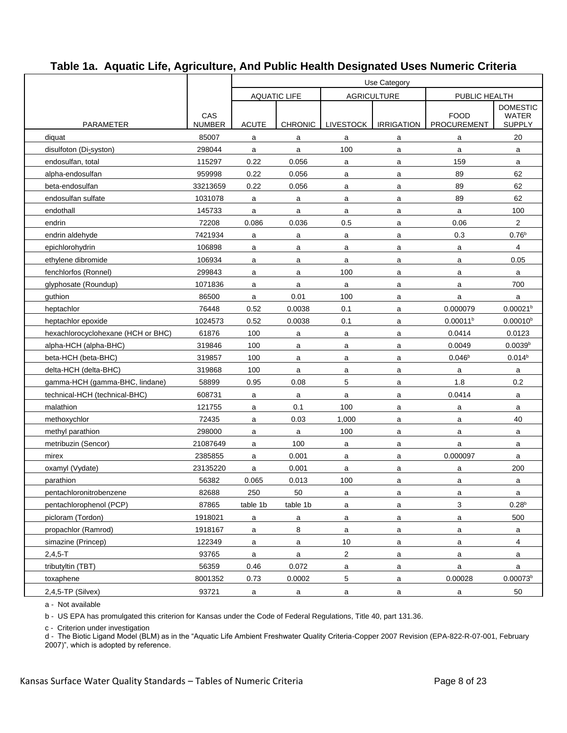|                                    |                      | Use Category                              |                |                  |                   |                            |                               |  |  |
|------------------------------------|----------------------|-------------------------------------------|----------------|------------------|-------------------|----------------------------|-------------------------------|--|--|
|                                    |                      | <b>AQUATIC LIFE</b><br><b>AGRICULTURE</b> |                |                  |                   | PUBLIC HEALTH              |                               |  |  |
|                                    |                      |                                           |                |                  |                   |                            | <b>DOMESTIC</b>               |  |  |
| <b>PARAMETER</b>                   | CAS<br><b>NUMBER</b> | <b>ACUTE</b>                              | <b>CHRONIC</b> | <b>LIVESTOCK</b> | <b>IRRIGATION</b> | <b>FOOD</b><br>PROCUREMENT | <b>WATER</b><br><b>SUPPLY</b> |  |  |
| diquat                             | 85007                | a                                         | a              | a                | a                 | a                          | 20                            |  |  |
| disulfoton (Di-syston)             | 298044               | a                                         | a              | 100              | a                 | a                          | a                             |  |  |
| endosulfan, total                  | 115297               | 0.22                                      | 0.056          | a                | a                 | 159                        | a                             |  |  |
| alpha-endosulfan                   | 959998               | 0.22                                      | 0.056          | a                | a                 | 89                         | 62                            |  |  |
| beta-endosulfan                    | 33213659             | 0.22                                      | 0.056          | a                | a                 | 89                         | 62                            |  |  |
| endosulfan sulfate                 | 1031078              | a                                         | a              | a                | a                 | 89                         | 62                            |  |  |
| endothall                          | 145733               | a                                         | a              | a                | a                 | a                          | 100                           |  |  |
| endrin                             | 72208                | 0.086                                     | 0.036          | 0.5              | a                 | 0.06                       | $\overline{c}$                |  |  |
| endrin aldehyde                    | 7421934              | a                                         | a              | a                | a                 | 0.3                        | 0.76 <sup>b</sup>             |  |  |
| epichlorohydrin                    | 106898               | a                                         | a              | a                | a                 | a                          | 4                             |  |  |
| ethylene dibromide                 | 106934               | a                                         | a              | a                | a                 | a                          | 0.05                          |  |  |
| fenchlorfos (Ronnel)               | 299843               | a                                         | a              | 100              | a                 | a                          | a                             |  |  |
| qlyphosate (Roundup)               | 1071836              | a                                         | a              | a                | a                 | a                          | 700                           |  |  |
| guthion                            | 86500                | a                                         | 0.01           | 100              | a                 | a                          | a                             |  |  |
| heptachlor                         | 76448                | 0.52                                      | 0.0038         | 0.1              | a                 | 0.000079                   | 0.00021 <sup>b</sup>          |  |  |
| heptachlor epoxide                 | 1024573              | 0.52                                      | 0.0038         | 0.1              | a                 | 0.00011 <sup>b</sup>       | $0.00010^{b}$                 |  |  |
| hexachlorocyclohexane (HCH or BHC) | 61876                | 100                                       | a              | a                | a                 | 0.0414                     | 0.0123                        |  |  |
| alpha-HCH (alpha-BHC)              | 319846               | 100                                       | a              | a                | a                 | 0.0049                     | 0.0039 <sup>b</sup>           |  |  |
| beta-HCH (beta-BHC)                | 319857               | 100                                       | a              | a                | a                 | 0.046 <sup>b</sup>         | 0.014 <sup>b</sup>            |  |  |
| delta-HCH (delta-BHC)              | 319868               | 100                                       | a              | a                | a                 | a                          | a                             |  |  |
| gamma-HCH (gamma-BHC, lindane)     | 58899                | 0.95                                      | 0.08           | 5                | a                 | 1.8                        | 0.2                           |  |  |
| technical-HCH (technical-BHC)      | 608731               | a                                         | a              | a                | a                 | 0.0414                     | a                             |  |  |
| malathion                          | 121755               | a                                         | 0.1            | 100              | a                 | a                          | a                             |  |  |
| methoxychlor                       | 72435                | a                                         | 0.03           | 1,000            | a                 | a                          | 40                            |  |  |
| methyl parathion                   | 298000               | a                                         | a              | 100              | a                 | a                          | a                             |  |  |
| metribuzin (Sencor)                | 21087649             | a                                         | 100            | a                | a                 | a                          | a                             |  |  |
| mirex                              | 2385855              | a                                         | 0.001          | a                | a                 | 0.000097                   | a                             |  |  |
| oxamyl (Vydate)                    | 23135220             | a                                         | 0.001          | a                | a                 | a                          | 200                           |  |  |
| parathion                          | 56382                | 0.065                                     | 0.013          | 100              | a                 | a                          | a                             |  |  |
| pentachloronitrobenzene            | 82688                | 250                                       | 50             | а                | а                 | а                          | а                             |  |  |
| pentachlorophenol (PCP)            | 87865                | table 1b                                  | table 1b       | a                | a                 | 3                          | $0.28^{b}$                    |  |  |
| picloram (Tordon)                  | 1918021              | $\mathsf{a}$                              | $\mathsf{a}$   | a                | a                 | a                          | 500                           |  |  |
| propachlor (Ramrod)                | 1918167              | $\mathsf{a}$                              | $\bf8$         | $\mathsf{a}$     | $\mathsf{a}$      | a                          | $\mathsf{a}$                  |  |  |
| simazine (Princep)                 | 122349               | a                                         | a              | 10               | a                 | a                          | $\overline{4}$                |  |  |
| $2,4,5 - T$                        | 93765                | $\mathsf{a}$                              | a              | $\overline{2}$   | a                 | a                          | a                             |  |  |
| tributyltin (TBT)                  | 56359                | 0.46                                      | 0.072          | a                | a                 | a                          | $\mathsf{a}$                  |  |  |
| toxaphene                          | 8001352              | 0.73                                      | 0.0002         | 5                | $\mathsf{a}$      | 0.00028                    | $0.00073^b$                   |  |  |
| 2,4,5-TP (Silvex)                  | 93721                | a                                         | a              | a                | $\mathbf{a}$      | a                          | 50                            |  |  |

a - Not available

b - US EPA has promulgated this criterion for Kansas under the Code of Federal Regulations, Title 40, part 131.36.

c - Criterion under investigation

d - The Biotic Ligand Model (BLM) as in the "Aquatic Life Ambient Freshwater Quality Criteria-Copper 2007 Revision (EPA-822-R-07-001, February 2007)", which is adopted by reference.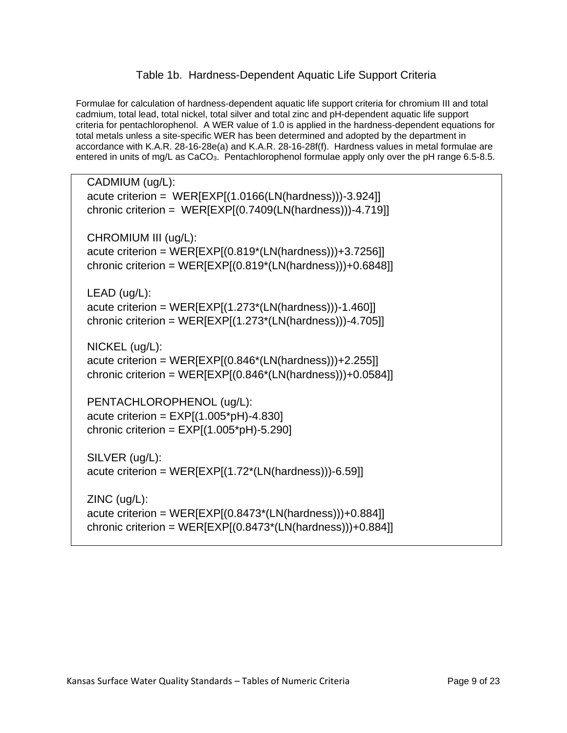#### Table 1b. Hardness-Dependent Aquatic Life Support Criteria

Formulae for calculation of hardness-dependent aquatic life support criteria for chromium III and total cadmium, total lead, total nickel, total silver and total zinc and pH-dependent aquatic life support criteria for pentachlorophenol. A WER value of 1.0 is applied in the hardness-dependent equations for total metals unless a site-specific WER has been determined and adopted by the department in accordance with K.A.R. 28-16-28e(a) and K.A.R. 28-16-28f(f). Hardness values in metal formulae are entered in units of mg/L as CaCO<sub>3</sub>. Pentachlorophenol formulae apply only over the pH range 6.5-8.5.

CADMIUM (ug/L): acute criterion =  $WER[EXP[(1.0166(LN(hardness)))-3.924]]$ chronic criterion = WER[EXP[(0.7409(LN(hardness)))-4.719]] CHROMIUM III (ug/L): acute criterion = WER[EXP[(0.819\*(LN(hardness)))+3.7256]] chronic criterion =  $WER[EXP](0.819*(LN(hardness)))+0.6848]$ LEAD (ug/L): acute criterion =  $WER[EXP](1.273*(LN(hardness)))-1.460]$ chronic criterion = WER[EXP[(1.273\*(LN(hardness)))-4.705]] NICKEL (ug/L): acute criterion =  $WER[EXP[(0.846*(LN(hardness))) + 2.255]]$ chronic criterion = WER[EXP[(0.846\*(LN(hardness)))+0.0584]] PENTACHLOROPHENOL (ug/L):

acute criterion =  $EXP[(1.005<sup>*</sup>pH)-4.830]$ chronic criterion =  $EXP[(1.005<sup>*</sup>pH)-5.290]$ 

SILVER (ug/L): acute criterion =  $WER[EXP[(1.72*(LN(hardness)))-6.59]]$ 

ZINC (ug/L): acute criterion =  $WER[EXP[(0.8473*(LN(hardness)))+0.884]]$ chronic criterion =  $WER[EXP](0.8473*(LN(hardness)))+0.884]$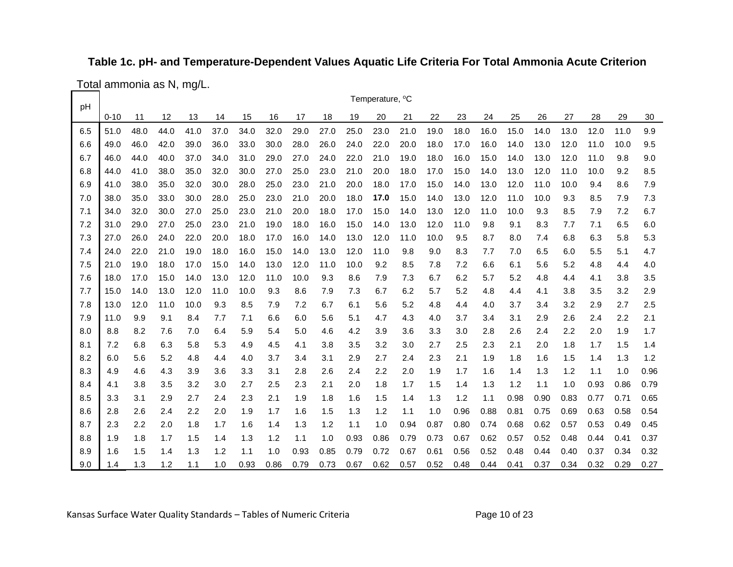#### **Table 1c. pH- and Temperature-Dependent Values Aquatic Life Criteria For Total Ammonia Acute Criterion**

Total ammonia as N, mg/L.

| рH  |          |      |      |      |      |      |      |      |      |      | Temperature, °C |      |      |      |      |      |      |      |      |      |      |
|-----|----------|------|------|------|------|------|------|------|------|------|-----------------|------|------|------|------|------|------|------|------|------|------|
|     | $0 - 10$ | 11   | 12   | 13   | 14   | 15   | 16   | 17   | 18   | 19   | 20              | 21   | 22   | 23   | 24   | 25   | 26   | 27   | 28   | 29   | 30   |
| 6.5 | 51.0     | 48.0 | 44.0 | 41.0 | 37.0 | 34.0 | 32.0 | 29.0 | 27.0 | 25.0 | 23.0            | 21.0 | 19.0 | 18.0 | 16.0 | 15.0 | 14.0 | 13.0 | 12.0 | 11.0 | 9.9  |
| 6.6 | 49.0     | 46.0 | 42.0 | 39.0 | 36.0 | 33.0 | 30.0 | 28.0 | 26.0 | 24.0 | 22.0            | 20.0 | 18.0 | 17.0 | 16.0 | 14.0 | 13.0 | 12.0 | 11.0 | 10.0 | 9.5  |
| 6.7 | 46.0     | 44.0 | 40.0 | 37.0 | 34.0 | 31.0 | 29.0 | 27.0 | 24.0 | 22.0 | 21.0            | 19.0 | 18.0 | 16.0 | 15.0 | 14.0 | 13.0 | 12.0 | 11.0 | 9.8  | 9.0  |
| 6.8 | 44.0     | 41.0 | 38.0 | 35.0 | 32.0 | 30.0 | 27.0 | 25.0 | 23.0 | 21.0 | 20.0            | 18.0 | 17.0 | 15.0 | 14.0 | 13.0 | 12.0 | 11.0 | 10.0 | 9.2  | 8.5  |
| 6.9 | 41.0     | 38.0 | 35.0 | 32.0 | 30.0 | 28.0 | 25.0 | 23.0 | 21.0 | 20.0 | 18.0            | 17.0 | 15.0 | 14.0 | 13.0 | 12.0 | 11.0 | 10.0 | 9.4  | 8.6  | 7.9  |
| 7.0 | 38.0     | 35.0 | 33.0 | 30.0 | 28.0 | 25.0 | 23.0 | 21.0 | 20.0 | 18.0 | 17.0            | 15.0 | 14.0 | 13.0 | 12.0 | 11.0 | 10.0 | 9.3  | 8.5  | 7.9  | 7.3  |
| 7.1 | 34.0     | 32.0 | 30.0 | 27.0 | 25.0 | 23.0 | 21.0 | 20.0 | 18.0 | 17.0 | 15.0            | 14.0 | 13.0 | 12.0 | 11.0 | 10.0 | 9.3  | 8.5  | 7.9  | 7.2  | 6.7  |
| 7.2 | 31.0     | 29.0 | 27.0 | 25.0 | 23.0 | 21.0 | 19.0 | 18.0 | 16.0 | 15.0 | 14.0            | 13.0 | 12.0 | 11.0 | 9.8  | 9.1  | 8.3  | 7.7  | 7.1  | 6.5  | 6.0  |
| 7.3 | 27.0     | 26.0 | 24.0 | 22.0 | 20.0 | 18.0 | 17.0 | 16.0 | 14.0 | 13.0 | 12.0            | 11.0 | 10.0 | 9.5  | 8.7  | 8.0  | 7.4  | 6.8  | 6.3  | 5.8  | 5.3  |
| 7.4 | 24.0     | 22.0 | 21.0 | 19.0 | 18.0 | 16.0 | 15.0 | 14.0 | 13.0 | 12.0 | 11.0            | 9.8  | 9.0  | 8.3  | 7.7  | 7.0  | 6.5  | 6.0  | 5.5  | 5.1  | 4.7  |
| 7.5 | 21.0     | 19.0 | 18.0 | 17.0 | 15.0 | 14.0 | 13.0 | 12.0 | 11.0 | 10.0 | 9.2             | 8.5  | 7.8  | 7.2  | 6.6  | 6.1  | 5.6  | 5.2  | 4.8  | 4.4  | 4.0  |
| 7.6 | 18.0     | 17.0 | 15.0 | 14.0 | 13.0 | 12.0 | 11.0 | 10.0 | 9.3  | 8.6  | 7.9             | 7.3  | 6.7  | 6.2  | 5.7  | 5.2  | 4.8  | 4.4  | 4.1  | 3.8  | 3.5  |
| 7.7 | 15.0     | 14.0 | 13.0 | 12.0 | 11.0 | 10.0 | 9.3  | 8.6  | 7.9  | 7.3  | 6.7             | 6.2  | 5.7  | 5.2  | 4.8  | 4.4  | 4.1  | 3.8  | 3.5  | 3.2  | 2.9  |
| 7.8 | 13.0     | 12.0 | 11.0 | 10.0 | 9.3  | 8.5  | 7.9  | 7.2  | 6.7  | 6.1  | 5.6             | 5.2  | 4.8  | 4.4  | 4.0  | 3.7  | 3.4  | 3.2  | 2.9  | 2.7  | 2.5  |
| 7.9 | 11.0     | 9.9  | 9.1  | 8.4  | 7.7  | 7.1  | 6.6  | 6.0  | 5.6  | 5.1  | 4.7             | 4.3  | 4.0  | 3.7  | 3.4  | 3.1  | 2.9  | 2.6  | 2.4  | 2.2  | 2.1  |
| 8.0 | 8.8      | 8.2  | 7.6  | 7.0  | 6.4  | 5.9  | 5.4  | 5.0  | 4.6  | 4.2  | 3.9             | 3.6  | 3.3  | 3.0  | 2.8  | 2.6  | 2.4  | 2.2  | 2.0  | 1.9  | 1.7  |
| 8.1 | 7.2      | 6.8  | 6.3  | 5.8  | 5.3  | 4.9  | 4.5  | 4.1  | 3.8  | 3.5  | 3.2             | 3.0  | 2.7  | 2.5  | 2.3  | 2.1  | 2.0  | 1.8  | 1.7  | 1.5  | 1.4  |
| 8.2 | 6.0      | 5.6  | 5.2  | 4.8  | 4.4  | 4.0  | 3.7  | 3.4  | 3.1  | 2.9  | 2.7             | 2.4  | 2.3  | 2.1  | 1.9  | 1.8  | 1.6  | 1.5  | 1.4  | 1.3  | 1.2  |
| 8.3 | 4.9      | 4.6  | 4.3  | 3.9  | 3.6  | 3.3  | 3.1  | 2.8  | 2.6  | 2.4  | 2.2             | 2.0  | 1.9  | 1.7  | 1.6  | 1.4  | 1.3  | 1.2  | 1.1  | 1.0  | 0.96 |
| 8.4 | 4.1      | 3.8  | 3.5  | 3.2  | 3.0  | 2.7  | 2.5  | 2.3  | 2.1  | 2.0  | 1.8             | 1.7  | 1.5  | 1.4  | 1.3  | 1.2  | 1.1  | 1.0  | 0.93 | 0.86 | 0.79 |
| 8.5 | 3.3      | 3.1  | 2.9  | 2.7  | 2.4  | 2.3  | 2.1  | 1.9  | 1.8  | 1.6  | 1.5             | 1.4  | 1.3  | 1.2  | 1.1  | 0.98 | 0.90 | 0.83 | 0.77 | 0.71 | 0.65 |
| 8.6 | 2.8      | 2.6  | 2.4  | 2.2  | 2.0  | 1.9  | 1.7  | 1.6  | 1.5  | 1.3  | 1.2             | 1.1  | 1.0  | 0.96 | 0.88 | 0.81 | 0.75 | 0.69 | 0.63 | 0.58 | 0.54 |
| 8.7 | 2.3      | 2.2  | 2.0  | 1.8  | 1.7  | 1.6  | 1.4  | 1.3  | 1.2  | 1.1  | 1.0             | 0.94 | 0.87 | 0.80 | 0.74 | 0.68 | 0.62 | 0.57 | 0.53 | 0.49 | 0.45 |
| 8.8 | 1.9      | 1.8  | 1.7  | 1.5  | 1.4  | 1.3  | 1.2  | 1.1  | 1.0  | 0.93 | 0.86            | 0.79 | 0.73 | 0.67 | 0.62 | 0.57 | 0.52 | 0.48 | 0.44 | 0.41 | 0.37 |
| 8.9 | 1.6      | 1.5  | 1.4  | 1.3  | 1.2  | 1.1  | 1.0  | 0.93 | 0.85 | 0.79 | 0.72            | 0.67 | 0.61 | 0.56 | 0.52 | 0.48 | 0.44 | 0.40 | 0.37 | 0.34 | 0.32 |
| 9.0 | 1.4      | 1.3  | 1.2  | 1.1  | 1.0  | 0.93 | 0.86 | 0.79 | 0.73 | 0.67 | 0.62            | 0.57 | 0.52 | 0.48 | 0.44 | 0.41 | 0.37 | 0.34 | 0.32 | 0.29 | 0.27 |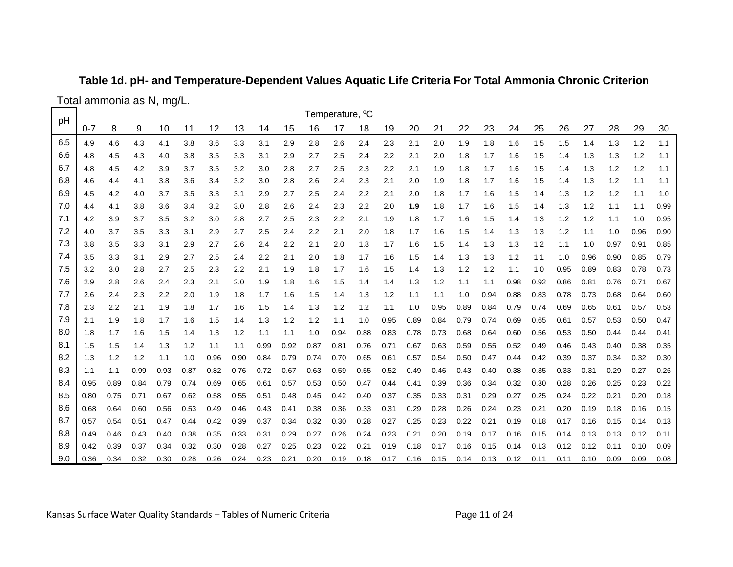### **Table 1d. pH- and Temperature-Dependent Values Aquatic Life Criteria For Total Ammonia Chronic Criterion**

Total ammonia as N, mg/L.

| pH  |         |      |      |      |      |      |      |      |      |      | Temperature, <sup>o</sup> C |      |      |      |      |      |      |      |      |      |      |      |      |      |
|-----|---------|------|------|------|------|------|------|------|------|------|-----------------------------|------|------|------|------|------|------|------|------|------|------|------|------|------|
|     | $0 - 7$ | 8    | 9    | 10   | 11   | 12   | 13   | 14   | 15   | 16   | 17                          | 18   | 19   | 20   | 21   | 22   | 23   | 24   | 25   | 26   | 27   | 28   | 29   | 30   |
| 6.5 | 4.9     | 4.6  | 4.3  | 4.1  | 3.8  | 3.6  | 3.3  | 3.1  | 2.9  | 2.8  | 2.6                         | 2.4  | 2.3  | 2.1  | 2.0  | 1.9  | 1.8  | 1.6  | 1.5  | 1.5  | 1.4  | 1.3  | 1.2  | 1.1  |
| 6.6 | 4.8     | 4.5  | 4.3  | 4.0  | 3.8  | 3.5  | 3.3  | 3.1  | 2.9  | 2.7  | 2.5                         | 2.4  | 2.2  | 2.1  | 2.0  | 1.8  | 1.7  | 1.6  | 1.5  | 1.4  | 1.3  | 1.3  | 1.2  | 1.1  |
| 6.7 | 4.8     | 4.5  | 4.2  | 3.9  | 3.7  | 3.5  | 3.2  | 3.0  | 2.8  | 2.7  | 2.5                         | 2.3  | 2.2  | 2.1  | 1.9  | 1.8  | 1.7  | 1.6  | 1.5  | 1.4  | 1.3  | 1.2  | 1.2  | 1.1  |
| 6.8 | 4.6     | 4.4  | 4.1  | 3.8  | 3.6  | 3.4  | 3.2  | 3.0  | 2.8  | 2.6  | 2.4                         | 2.3  | 2.1  | 2.0  | 1.9  | 1.8  | 1.7  | 1.6  | 1.5  | 1.4  | 1.3  | 1.2  | 1.1  | 1.1  |
| 6.9 | 4.5     | 4.2  | 4.0  | 3.7  | 3.5  | 3.3  | 3.1  | 2.9  | 2.7  | 2.5  | 2.4                         | 2.2  | 2.1  | 2.0  | 1.8  | 1.7  | 1.6  | 1.5  | 1.4  | 1.3  | 1.2  | 1.2  | 1.1  | 1.0  |
| 7.0 | 4.4     | 4.1  | 3.8  | 3.6  | 3.4  | 3.2  | 3.0  | 2.8  | 2.6  | 2.4  | 2.3                         | 2.2  | 2.0  | 1.9  | 1.8  | 1.7  | 1.6  | 1.5  | 1.4  | 1.3  | 1.2  | 1.1  | 1.1  | 0.99 |
| 7.1 | 4.2     | 3.9  | 3.7  | 3.5  | 3.2  | 3.0  | 2.8  | 2.7  | 2.5  | 2.3  | 2.2                         | 2.1  | 1.9  | 1.8  | 1.7  | 1.6  | 1.5  | 1.4  | 1.3  | 1.2  | 1.2  | 1.1  | 1.0  | 0.95 |
| 7.2 | 4.0     | 3.7  | 3.5  | 3.3  | 3.1  | 2.9  | 2.7  | 2.5  | 2.4  | 2.2  | 2.1                         | 2.0  | 1.8  | 1.7  | 1.6  | 1.5  | 1.4  | 1.3  | 1.3  | 1.2  | 1.1  | 1.0  | 0.96 | 0.90 |
| 7.3 | 3.8     | 3.5  | 3.3  | 3.1  | 2.9  | 2.7  | 2.6  | 2.4  | 2.2  | 2.1  | 2.0                         | 1.8  | 1.7  | 1.6  | 1.5  | 1.4  | 1.3  | 1.3  | 1.2  | 1.1  | 1.0  | 0.97 | 0.91 | 0.85 |
| 7.4 | 3.5     | 3.3  | 3.1  | 2.9  | 2.7  | 2.5  | 2.4  | 2.2  | 2.1  | 2.0  | 1.8                         | 1.7  | 1.6  | 1.5  | 1.4  | 1.3  | 1.3  | 1.2  | 1.1  | 1.0  | 0.96 | 0.90 | 0.85 | 0.79 |
| 7.5 | 3.2     | 3.0  | 2.8  | 2.7  | 2.5  | 2.3  | 2.2  | 2.1  | 1.9  | 1.8  | 1.7                         | 1.6  | 1.5  | 1.4  | 1.3  | 1.2  | 1.2  | 1.1  | 1.0  | 0.95 | 0.89 | 0.83 | 0.78 | 0.73 |
| 7.6 | 2.9     | 2.8  | 2.6  | 2.4  | 2.3  | 2.1  | 2.0  | 1.9  | 1.8  | 1.6  | 1.5                         | 1.4  | 1.4  | 1.3  | 1.2  | 1.1  | 1.1  | 0.98 | 0.92 | 0.86 | 0.81 | 0.76 | 0.71 | 0.67 |
| 7.7 | 2.6     | 2.4  | 2.3  | 2.2  | 2.0  | 1.9  | 1.8  | 1.7  | 1.6  | 1.5  | 1.4                         | 1.3  | 1.2  | 1.1  | 1.1  | 1.0  | 0.94 | 0.88 | 0.83 | 0.78 | 0.73 | 0.68 | 0.64 | 0.60 |
| 7.8 | 2.3     | 2.2  | 2.1  | 1.9  | 1.8  | 1.7  | 1.6  | 1.5  | 1.4  | 1.3  | 1.2                         | 1.2  | 1.1  | 1.0  | 0.95 | 0.89 | 0.84 | 0.79 | 0.74 | 0.69 | 0.65 | 0.61 | 0.57 | 0.53 |
| 7.9 | 2.1     | 1.9  | 1.8  | 1.7  | 1.6  | 1.5  | 1.4  | 1.3  | 1.2  | 1.2  | 1.1                         | 1.0  | 0.95 | 0.89 | 0.84 | 0.79 | 0.74 | 0.69 | 0.65 | 0.61 | 0.57 | 0.53 | 0.50 | 0.47 |
| 8.0 | 1.8     | 1.7  | 1.6  | 1.5  | 1.4  | 1.3  | 1.2  | 1.1  | 1.1  | 1.0  | 0.94                        | 0.88 | 0.83 | 0.78 | 0.73 | 0.68 | 0.64 | 0.60 | 0.56 | 0.53 | 0.50 | 0.44 | 0.44 | 0.41 |
| 8.1 | 1.5     | 1.5  | 1.4  | 1.3  | 1.2  | 1.1  | 1.1  | 0.99 | 0.92 | 0.87 | 0.81                        | 0.76 | 0.71 | 0.67 | 0.63 | 0.59 | 0.55 | 0.52 | 0.49 | 0.46 | 0.43 | 0.40 | 0.38 | 0.35 |
| 8.2 | 1.3     | 1.2  | 1.2  | 1.1  | 1.0  | 0.96 | 0.90 | 0.84 | 0.79 | 0.74 | 0.70                        | 0.65 | 0.61 | 0.57 | 0.54 | 0.50 | 0.47 | 0.44 | 0.42 | 0.39 | 0.37 | 0.34 | 0.32 | 0.30 |
| 8.3 | 1.1     | 1.1  | 0.99 | 0.93 | 0.87 | 0.82 | 0.76 | 0.72 | 0.67 | 0.63 | 0.59                        | 0.55 | 0.52 | 0.49 | 0.46 | 0.43 | 0.40 | 0.38 | 0.35 | 0.33 | 0.31 | 0.29 | 0.27 | 0.26 |
| 8.4 | 0.95    | 0.89 | 0.84 | 0.79 | 0.74 | 0.69 | 0.65 | 0.61 | 0.57 | 0.53 | 0.50                        | 0.47 | 0.44 | 0.41 | 0.39 | 0.36 | 0.34 | 0.32 | 0.30 | 0.28 | 0.26 | 0.25 | 0.23 | 0.22 |
| 8.5 | 0.80    | 0.75 | 0.71 | 0.67 | 0.62 | 0.58 | 0.55 | 0.51 | 0.48 | 0.45 | 0.42                        | 0.40 | 0.37 | 0.35 | 0.33 | 0.31 | 0.29 | 0.27 | 0.25 | 0.24 | 0.22 | 0.21 | 0.20 | 0.18 |
| 8.6 | 0.68    | 0.64 | 0.60 | 0.56 | 0.53 | 0.49 | 0.46 | 0.43 | 0.41 | 0.38 | 0.36                        | 0.33 | 0.31 | 0.29 | 0.28 | 0.26 | 0.24 | 0.23 | 0.21 | 0.20 | 0.19 | 0.18 | 0.16 | 0.15 |
| 8.7 | 0.57    | 0.54 | 0.51 | 0.47 | 0.44 | 0.42 | 0.39 | 0.37 | 0.34 | 0.32 | 0.30                        | 0.28 | 0.27 | 0.25 | 0.23 | 0.22 | 0.21 | 0.19 | 0.18 | 0.17 | 0.16 | 0.15 | 0.14 | 0.13 |
| 8.8 | 0.49    | 0.46 | 0.43 | 0.40 | 0.38 | 0.35 | 0.33 | 0.31 | 0.29 | 0.27 | 0.26                        | 0.24 | 0.23 | 0.21 | 0.20 | 0.19 | 0.17 | 0.16 | 0.15 | 0.14 | 0.13 | 0.13 | 0.12 | 0.11 |
| 8.9 | 0.42    | 0.39 | 0.37 | 0.34 | 0.32 | 0.30 | 0.28 | 0.27 | 0.25 | 0.23 | 0.22                        | 0.21 | 0.19 | 0.18 | 0.17 | 0.16 | 0.15 | 0.14 | 0.13 | 0.12 | 0.12 | 0.11 | 0.10 | 0.09 |
| 9.0 | 0.36    | 0.34 | 0.32 | 0.30 | 0.28 | 0.26 | 0.24 | 0.23 | 0.21 | 0.20 | 0.19                        | 0.18 | 0.17 | 0.16 | 0.15 | 0.14 | 0.13 | 0.12 | 0.11 | 0.11 | 0.10 | 0.09 | 0.09 | 0.08 |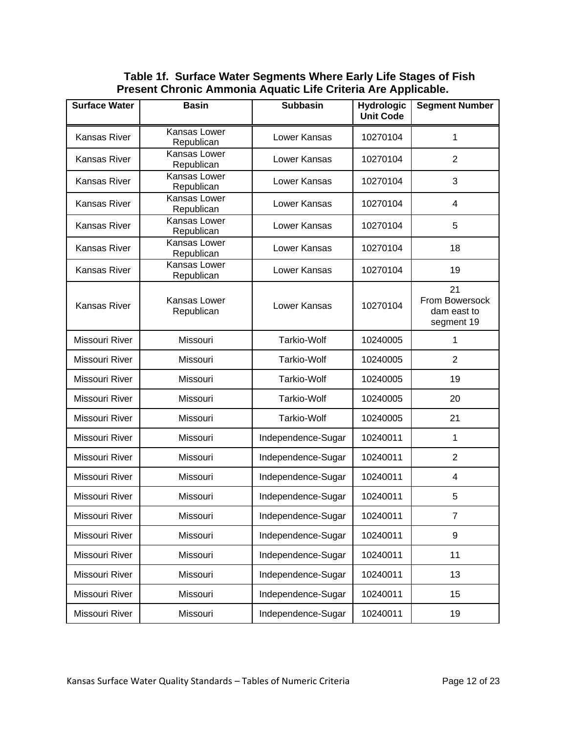**Table 1f. Surface Water Segments Where Early Life Stages of Fish Present Chronic Ammonia Aquatic Life Criteria Are Applicable.**

| <b>Surface Water</b> | <b>Basin</b>               | <b>Subbasin</b>    | <b>Hydrologic</b><br><b>Unit Code</b> | <b>Segment Number</b>                             |
|----------------------|----------------------------|--------------------|---------------------------------------|---------------------------------------------------|
| Kansas River         | Kansas Lower<br>Republican | Lower Kansas       | 10270104                              | 1                                                 |
| Kansas River         | Kansas Lower<br>Republican | Lower Kansas       | 10270104                              | $\overline{2}$                                    |
| Kansas River         | Kansas Lower<br>Republican | Lower Kansas       | 10270104                              | 3                                                 |
| Kansas River         | Kansas Lower<br>Republican | Lower Kansas       | 10270104                              | $\overline{4}$                                    |
| Kansas River         | Kansas Lower<br>Republican | Lower Kansas       | 10270104                              | 5                                                 |
| <b>Kansas River</b>  | Kansas Lower<br>Republican | Lower Kansas       | 10270104                              | 18                                                |
| <b>Kansas River</b>  | Kansas Lower<br>Republican | Lower Kansas       | 10270104                              | 19                                                |
| <b>Kansas River</b>  | Kansas Lower<br>Republican | Lower Kansas       | 10270104                              | 21<br>From Bowersock<br>dam east to<br>segment 19 |
| Missouri River       | Missouri                   | <b>Tarkio-Wolf</b> | 10240005                              | 1                                                 |
| Missouri River       | Missouri                   | <b>Tarkio-Wolf</b> | 10240005                              | $\overline{2}$                                    |
| Missouri River       | Missouri                   | Tarkio-Wolf        | 10240005                              | 19                                                |
| Missouri River       | Missouri                   | <b>Tarkio-Wolf</b> | 10240005                              | 20                                                |
| Missouri River       | Missouri                   | <b>Tarkio-Wolf</b> | 10240005                              | 21                                                |
| Missouri River       | Missouri                   | Independence-Sugar | 10240011                              | 1                                                 |
| Missouri River       | Missouri                   | Independence-Sugar | 10240011                              | $\overline{2}$                                    |
| Missouri River       | Missouri                   | Independence-Sugar | 10240011                              | $\overline{4}$                                    |
| Missouri River       | Missouri                   | Independence-Sugar | 10240011                              | 5                                                 |
| Missouri River       | Missouri                   | Independence-Sugar | 10240011                              | $\overline{7}$                                    |
| Missouri River       | Missouri                   | Independence-Sugar | 10240011                              | $\boldsymbol{9}$                                  |
| Missouri River       | Missouri                   | Independence-Sugar | 10240011                              | 11                                                |
| Missouri River       | Missouri                   | Independence-Sugar | 10240011                              | 13                                                |
| Missouri River       | Missouri                   | Independence-Sugar | 10240011                              | 15                                                |
| Missouri River       | Missouri                   | Independence-Sugar | 10240011                              | 19                                                |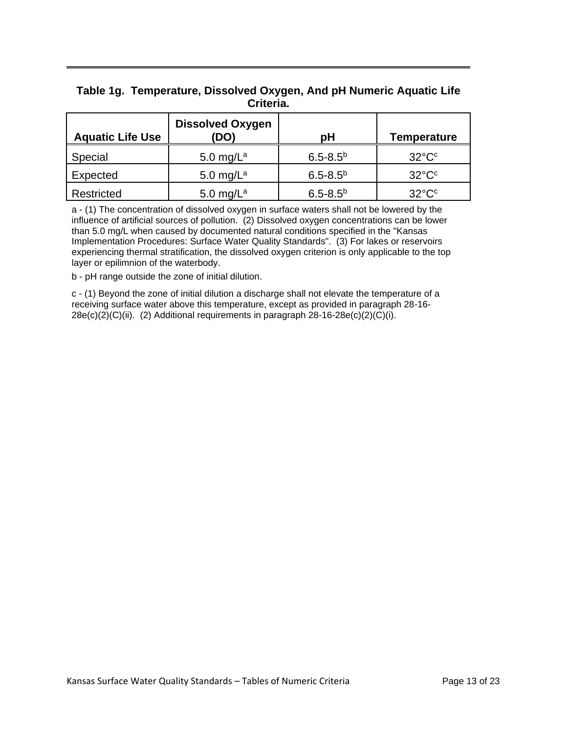#### **Table 1g. Temperature, Dissolved Oxygen, And pH Numeric Aquatic Life Criteria.**

| <b>Aquatic Life Use</b> | <b>Dissolved Oxygen</b><br>(DO) | рH              | Temperature           |
|-------------------------|---------------------------------|-----------------|-----------------------|
| Special                 | 5.0 mg/ $L^a$                   | $6.5 - 8.5^{b}$ | $32^{\circ}C^{\circ}$ |
| Expected                | 5.0 mg/ $L^a$                   | $6.5 - 8.5^{b}$ | $32^{\circ}C^{\circ}$ |
| Restricted              | 5.0 mg/ $L^a$                   | $6.5 - 8.5^{b}$ | $32^{\circ}C^{\circ}$ |

a - (1) The concentration of dissolved oxygen in surface waters shall not be lowered by the influence of artificial sources of pollution. (2) Dissolved oxygen concentrations can be lower than 5.0 mg/L when caused by documented natural conditions specified in the "Kansas Implementation Procedures: Surface Water Quality Standards". (3) For lakes or reservoirs experiencing thermal stratification, the dissolved oxygen criterion is only applicable to the top layer or epilimnion of the waterbody.

b - pH range outside the zone of initial dilution.

c - (1) Beyond the zone of initial dilution a discharge shall not elevate the temperature of a receiving surface water above this temperature, except as provided in paragraph 28-16-  $28e(c)(2)(C)(ii)$ . (2) Additional requirements in paragraph  $28-16-28e(c)(2)(C)(i)$ .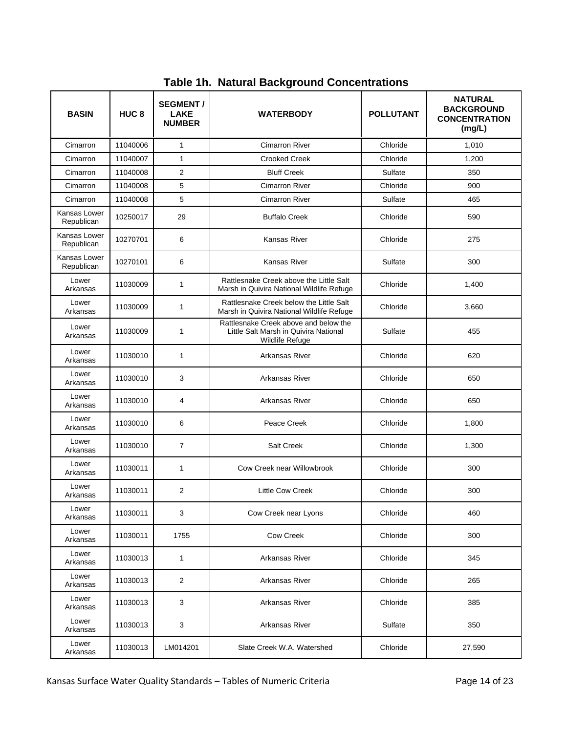| <b>BASIN</b>               | HUC <sub>8</sub> | <b>SEGMENT/</b><br><b>LAKE</b><br><b>NUMBER</b> | <b>WATERBODY</b>                                                                                  | <b>POLLUTANT</b> | <b>NATURAL</b><br><b>BACKGROUND</b><br><b>CONCENTRATION</b><br>(mg/L) |  |  |
|----------------------------|------------------|-------------------------------------------------|---------------------------------------------------------------------------------------------------|------------------|-----------------------------------------------------------------------|--|--|
| Cimarron                   | 11040006         | $\mathbf{1}$                                    | <b>Cimarron River</b>                                                                             | Chloride         | 1,010                                                                 |  |  |
| Cimarron                   | 11040007         | $\mathbf{1}$                                    | <b>Crooked Creek</b>                                                                              | Chloride         | 1,200                                                                 |  |  |
| Cimarron                   | 11040008         | 2                                               | <b>Bluff Creek</b>                                                                                | Sulfate          | 350                                                                   |  |  |
| Cimarron                   | 11040008         | 5                                               | <b>Cimarron River</b>                                                                             | Chloride         | 900                                                                   |  |  |
| Cimarron                   | 11040008         | 5                                               | <b>Cimarron River</b>                                                                             | Sulfate          | 465                                                                   |  |  |
| Kansas Lower<br>Republican | 10250017         | 29                                              | <b>Buffalo Creek</b>                                                                              | Chloride         | 590                                                                   |  |  |
| Kansas Lower<br>Republican | 10270701         | 6                                               | Kansas River                                                                                      | Chloride         | 275                                                                   |  |  |
| Kansas Lower<br>Republican | 10270101         | 6                                               | <b>Kansas River</b>                                                                               | Sulfate          | 300                                                                   |  |  |
| Lower<br>Arkansas          | 11030009         | 1                                               | Rattlesnake Creek above the Little Salt<br>Marsh in Quivira National Wildlife Refuge              | Chloride         | 1,400                                                                 |  |  |
| Lower<br>Arkansas          | 11030009         | 1                                               | Rattlesnake Creek below the Little Salt<br>Marsh in Quivira National Wildlife Refuge              | Chloride         | 3,660                                                                 |  |  |
| Lower<br>Arkansas          | 11030009         | 1                                               | Rattlesnake Creek above and below the<br>Little Salt Marsh in Quivira National<br>Wildlife Refuge | Sulfate          | 455                                                                   |  |  |
| Lower<br>Arkansas          | 11030010         | $\mathbf{1}$                                    | Arkansas River                                                                                    | Chloride         |                                                                       |  |  |
| Lower<br>Arkansas          | 11030010         | 3                                               | Arkansas River                                                                                    | Chloride         | 650                                                                   |  |  |
| Lower<br>Arkansas          | 11030010         | 4                                               | Arkansas River                                                                                    | Chloride         | 650                                                                   |  |  |
| Lower<br>Arkansas          | 11030010         | 6                                               | Peace Creek                                                                                       | Chloride         | 1,800                                                                 |  |  |
| Lower<br>Arkansas          | 11030010         | $\overline{7}$                                  | <b>Salt Creek</b>                                                                                 | Chloride         | 1,300                                                                 |  |  |
| Lower<br>Arkansas          | 11030011         | $\mathbf{1}$                                    | Cow Creek near Willowbrook                                                                        | Chloride         | 300                                                                   |  |  |
| Lower<br>Arkansas          | 11030011         | 2                                               | <b>Little Cow Creek</b>                                                                           | Chloride         | 300                                                                   |  |  |
| Lower<br>Arkansas          | 11030011         | 3                                               | Cow Creek near Lyons                                                                              | Chloride         | 460                                                                   |  |  |
| Lower<br>Arkansas          | 11030011         | 1755                                            | Cow Creek                                                                                         | Chloride         | 300                                                                   |  |  |
| Lower<br>Arkansas          | 11030013         | 1                                               | Arkansas River                                                                                    | Chloride         | 345                                                                   |  |  |
| Lower<br>Arkansas          | 11030013         | $\overline{c}$                                  | Arkansas River                                                                                    | Chloride         | 265                                                                   |  |  |
| Lower<br>Arkansas          | 11030013         | 3<br>Chloride<br>Arkansas River                 |                                                                                                   |                  | 385                                                                   |  |  |
| Lower<br>Arkansas          | 11030013         | 3                                               | Arkansas River                                                                                    | Sulfate          | 350                                                                   |  |  |
| Lower<br>Arkansas          | 11030013         | LM014201                                        | Chloride                                                                                          | 27,590           |                                                                       |  |  |

**Table 1h. Natural Background Concentrations**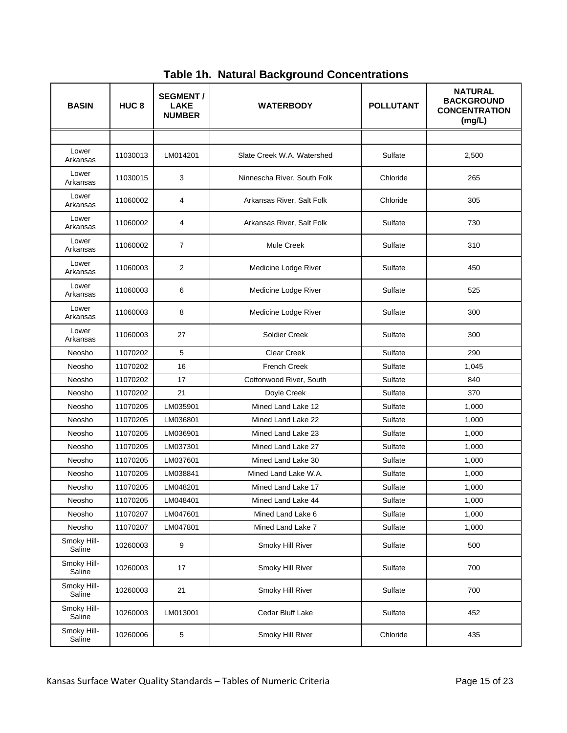| <b>BASIN</b>          | HUC <sub>8</sub> | <b>SEGMENT/</b><br><b>LAKE</b><br><b>NUMBER</b> | <b>POLLUTANT</b><br><b>WATERBODY</b> |                  | <b>NATURAL</b><br><b>BACKGROUND</b><br><b>CONCENTRATION</b><br>(mg/L) |  |
|-----------------------|------------------|-------------------------------------------------|--------------------------------------|------------------|-----------------------------------------------------------------------|--|
|                       |                  |                                                 |                                      |                  |                                                                       |  |
| Lower<br>Arkansas     | 11030013         | LM014201                                        | Slate Creek W.A. Watershed           | Sulfate          | 2,500                                                                 |  |
| Lower<br>Arkansas     | 11030015         | 3                                               | Ninnescha River, South Folk          | Chloride         | 265                                                                   |  |
| Lower<br>Arkansas     | 11060002         | 4                                               | Arkansas River, Salt Folk            | Chloride         | 305                                                                   |  |
| Lower<br>Arkansas     | 11060002         | 4                                               | Arkansas River, Salt Folk            | Sulfate          | 730                                                                   |  |
| Lower<br>Arkansas     | 11060002         | $\overline{7}$                                  | <b>Mule Creek</b>                    | Sulfate          | 310                                                                   |  |
| Lower<br>Arkansas     | 11060003         | 2                                               | Medicine Lodge River                 | Sulfate          | 450                                                                   |  |
| Lower<br>Arkansas     | 11060003         | 6                                               | Medicine Lodge River                 | Sulfate          | 525                                                                   |  |
| Lower<br>Arkansas     | 11060003         | 8                                               | Medicine Lodge River                 | Sulfate          | 300                                                                   |  |
| Lower<br>Arkansas     | 11060003         | 27                                              | Soldier Creek                        | Sulfate          | 300                                                                   |  |
| Neosho                | 11070202         | 5                                               | <b>Clear Creek</b><br>Sulfate        |                  | 290                                                                   |  |
| Neosho                | 11070202         | 16                                              | <b>French Creek</b><br>Sulfate       |                  | 1,045                                                                 |  |
| Neosho                | 11070202         | 17                                              | Cottonwood River, South<br>Sulfate   |                  | 840                                                                   |  |
| Neosho                | 11070202         | 21                                              | Sulfate<br>Doyle Creek               |                  | 370                                                                   |  |
| Neosho                | 11070205         | LM035901                                        | Mined Land Lake 12                   | Sulfate          | 1,000                                                                 |  |
| Neosho                | 11070205         | LM036801                                        | Mined Land Lake 22                   | Sulfate          | 1,000                                                                 |  |
| Neosho                | 11070205         | LM036901                                        | Mined Land Lake 23                   | Sulfate          |                                                                       |  |
| Neosho                | 11070205         | LM037301                                        | Mined Land Lake 27                   | Sulfate          | 1,000                                                                 |  |
| Neosho                | 11070205         | LM037601                                        | Mined Land Lake 30                   | Sulfate          | 1,000                                                                 |  |
| Neosho                | 11070205         | LM038841                                        | Mined Land Lake W.A.                 | Sulfate          | 1,000                                                                 |  |
| Neosho                | 11070205         | LM048201                                        | Mined Land Lake 17                   | Sulfate          | 1,000                                                                 |  |
| Neosho                | 11070205         | LM048401                                        | Mined Land Lake 44                   | Sulfate          | 1,000                                                                 |  |
| Neosho                | 11070207         | LM047601                                        | Mined Land Lake 6                    | Sulfate          | 1,000                                                                 |  |
| Neosho                | 11070207         | LM047801                                        | Mined Land Lake 7                    | Sulfate<br>1,000 |                                                                       |  |
| Smoky Hill-<br>Saline | 10260003         | 9                                               | Smoky Hill River                     | Sulfate          | 500                                                                   |  |
| Smoky Hill-<br>Saline | 10260003         | 17                                              | Smoky Hill River                     | Sulfate          | 700                                                                   |  |
| Smoky Hill-<br>Saline | 10260003         | 21                                              | Smoky Hill River                     | Sulfate          | 700                                                                   |  |
| Smoky Hill-<br>Saline | 10260003         | LM013001                                        | Cedar Bluff Lake                     | Sulfate          | 452                                                                   |  |
| Smoky Hill-<br>Saline | 10260006         | 5                                               | Smoky Hill River                     | Chloride         | 435                                                                   |  |

**Table 1h. Natural Background Concentrations**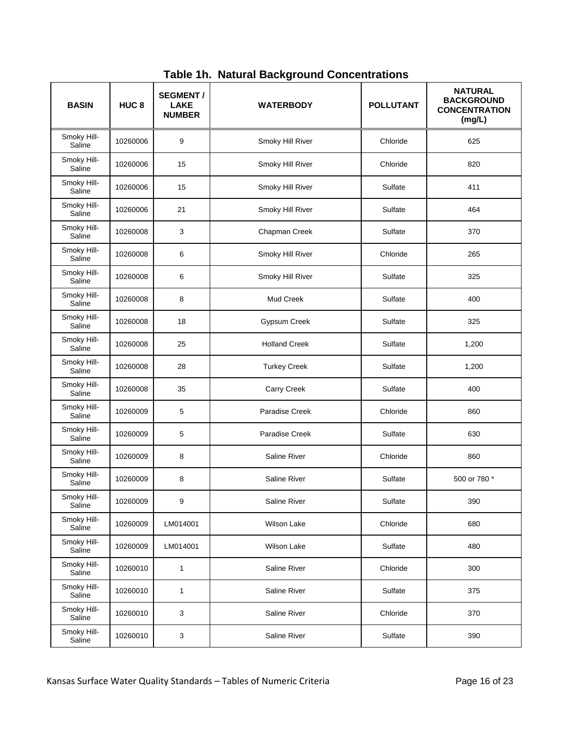| <b>BASIN</b>          | HUC <sub>8</sub> | <b>SEGMENT/</b><br><b>LAKE</b><br><b>NUMBER</b> | <b>WATERBODY</b>     | <b>POLLUTANT</b> | <b>NATURAL</b><br><b>BACKGROUND</b><br><b>CONCENTRATION</b><br>(mg/L) |  |
|-----------------------|------------------|-------------------------------------------------|----------------------|------------------|-----------------------------------------------------------------------|--|
| Smoky Hill-<br>Saline | 10260006         | 9                                               | Smoky Hill River     | Chloride<br>625  |                                                                       |  |
| Smoky Hill-<br>Saline | 10260006         | 15                                              | Smoky Hill River     | Chloride         | 820                                                                   |  |
| Smoky Hill-<br>Saline | 10260006         | 15                                              | Smoky Hill River     | Sulfate          | 411                                                                   |  |
| Smoky Hill-<br>Saline | 10260006         | 21                                              | Smoky Hill River     | Sulfate          | 464                                                                   |  |
| Smoky Hill-<br>Saline | 10260008         | 3                                               | Chapman Creek        | Sulfate          | 370                                                                   |  |
| Smoky Hill-<br>Saline | 10260008         | 6                                               | Smoky Hill River     | Chloride         | 265                                                                   |  |
| Smoky Hill-<br>Saline | 10260008         | 6                                               | Smoky Hill River     | Sulfate          | 325                                                                   |  |
| Smoky Hill-<br>Saline | 10260008         | 8                                               | Mud Creek            | Sulfate          | 400                                                                   |  |
| Smoky Hill-<br>Saline | 10260008         | 18                                              | Gypsum Creek         | Sulfate          | 325                                                                   |  |
| Smoky Hill-<br>Saline | 10260008         | 25                                              | <b>Holland Creek</b> | Sulfate          | 1,200                                                                 |  |
| Smoky Hill-<br>Saline | 10260008         | 28                                              | <b>Turkey Creek</b>  | Sulfate          | 1,200                                                                 |  |
| Smoky Hill-<br>Saline | 10260008         | 35                                              | Carry Creek          | Sulfate          | 400                                                                   |  |
| Smoky Hill-<br>Saline | 10260009         | 5                                               | Paradise Creek       | Chloride         | 860                                                                   |  |
| Smoky Hill-<br>Saline | 10260009         | 5                                               | Paradise Creek       | Sulfate          | 630                                                                   |  |
| Smoky Hill-<br>Saline | 10260009         | 8                                               | Saline River         | Chloride         | 860                                                                   |  |
| Smoky Hill-<br>Saline | 10260009         | 8                                               | <b>Saline River</b>  | Sulfate          | 500 or 780 *                                                          |  |
| Smoky Hill-<br>Saline | 10260009         | 9                                               | Saline River         | Sulfate          | 390                                                                   |  |
| Smoky Hill-<br>Saline | 10260009         | LM014001                                        | <b>Wilson Lake</b>   | Chloride         | 680                                                                   |  |
| Smoky Hill-<br>Saline | 10260009         | LM014001                                        | <b>Wilson Lake</b>   | Sulfate          | 480                                                                   |  |
| Smoky Hill-<br>Saline | 10260010         | $\mathbf{1}$                                    | Saline River         | Chloride         | 300                                                                   |  |
| Smoky Hill-<br>Saline | 10260010         | $\mathbf{1}$                                    | Saline River         | Sulfate          | 375                                                                   |  |
| Smoky Hill-<br>Saline | 10260010         | 3                                               | Saline River         | Chloride         | 370                                                                   |  |
| Smoky Hill-<br>Saline | 10260010         | 3                                               | Saline River         | Sulfate          | 390                                                                   |  |

**Table 1h. Natural Background Concentrations**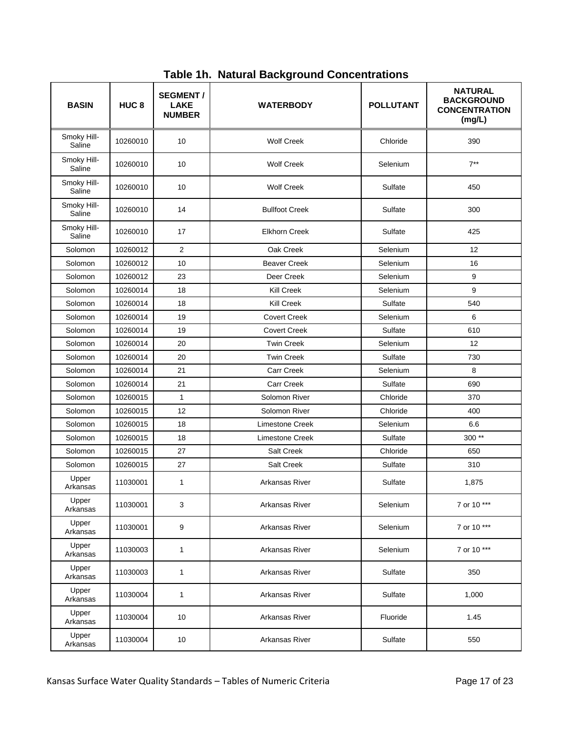| <b>BASIN</b>          | HUC <sub>8</sub> | <b>SEGMENT/</b><br><b>LAKE</b><br><b>NUMBER</b> | <b>WATERBODY</b>       | <b>POLLUTANT</b> | <b>NATURAL</b><br><b>BACKGROUND</b><br><b>CONCENTRATION</b><br>(mg/L) |  |
|-----------------------|------------------|-------------------------------------------------|------------------------|------------------|-----------------------------------------------------------------------|--|
| Smoky Hill-<br>Saline | 10260010         | 10                                              | <b>Wolf Creek</b>      | Chloride         | 390                                                                   |  |
| Smoky Hill-<br>Saline | 10260010         | 10                                              | <b>Wolf Creek</b>      | Selenium         | $7***$                                                                |  |
| Smoky Hill-<br>Saline | 10260010         | 10                                              | <b>Wolf Creek</b>      | Sulfate          | 450                                                                   |  |
| Smoky Hill-<br>Saline | 10260010         | 14                                              | <b>Bullfoot Creek</b>  | Sulfate          | 300                                                                   |  |
| Smoky Hill-<br>Saline | 10260010         | 17                                              | <b>Elkhorn Creek</b>   | Sulfate          | 425                                                                   |  |
| Solomon               | 10260012         | $\overline{2}$                                  | Oak Creek              | Selenium         | 12                                                                    |  |
| Solomon               | 10260012         | 10                                              | <b>Beaver Creek</b>    | Selenium         | 16                                                                    |  |
| Solomon               | 10260012         | 23                                              | Deer Creek             | Selenium         | 9                                                                     |  |
| Solomon               | 10260014         | 18                                              | <b>Kill Creek</b>      | Selenium         | 9                                                                     |  |
| Solomon               | 10260014         | 18                                              | <b>Kill Creek</b>      | Sulfate          | 540                                                                   |  |
| Solomon               | 10260014         | 19                                              | <b>Covert Creek</b>    | Selenium         | 6                                                                     |  |
| Solomon               | 10260014         | 19                                              | <b>Covert Creek</b>    | Sulfate          | 610                                                                   |  |
| Solomon               | 10260014         | 20                                              | <b>Twin Creek</b>      | Selenium         | 12                                                                    |  |
| Solomon               | 10260014         | 20                                              | <b>Twin Creek</b>      | Sulfate          | 730                                                                   |  |
| Solomon               | 10260014         | 21                                              | <b>Carr Creek</b>      | Selenium         | 8                                                                     |  |
| Solomon               | 10260014         | 21                                              | <b>Carr Creek</b>      | Sulfate          | 690                                                                   |  |
| Solomon               | 10260015         | $\mathbf{1}$                                    | Solomon River          | Chloride         | 370                                                                   |  |
| Solomon               | 10260015         | 12                                              | Solomon River          | Chloride         | 400                                                                   |  |
| Solomon               | 10260015         | 18                                              | <b>Limestone Creek</b> | Selenium         | 6.6                                                                   |  |
| Solomon               | 10260015         | 18                                              | <b>Limestone Creek</b> | Sulfate          | $300**$                                                               |  |
| Solomon               | 10260015         | 27                                              | Salt Creek             | Chloride         | 650                                                                   |  |
| Solomon               | 10260015         | 27                                              | Salt Creek             | Sulfate          | 310                                                                   |  |
| Upper<br>Arkansas     | 11030001         | 1                                               | Arkansas River         | Sulfate          | 1,875                                                                 |  |
| Upper<br>Arkansas     | 11030001         | 3                                               | Arkansas River         | Selenium         | 7 or 10 ***                                                           |  |
| Upper<br>Arkansas     | 11030001         | 9                                               | Arkansas River         | Selenium         | 7 or 10 ***                                                           |  |
| Upper<br>Arkansas     | 11030003         | $\mathbf{1}$                                    | Arkansas River         | Selenium         | 7 or 10 ***                                                           |  |
| Upper<br>Arkansas     | 11030003         | 1                                               | Arkansas River         | Sulfate          | 350                                                                   |  |
| Upper<br>Arkansas     | 11030004         | $\mathbf{1}$                                    | Arkansas River         | Sulfate          | 1,000                                                                 |  |
| Upper<br>Arkansas     | 11030004         | 10                                              | Arkansas River         | Fluoride         | 1.45                                                                  |  |
| Upper<br>Arkansas     | 11030004         | 10                                              | Arkansas River         | Sulfate          | 550                                                                   |  |

**Table 1h. Natural Background Concentrations**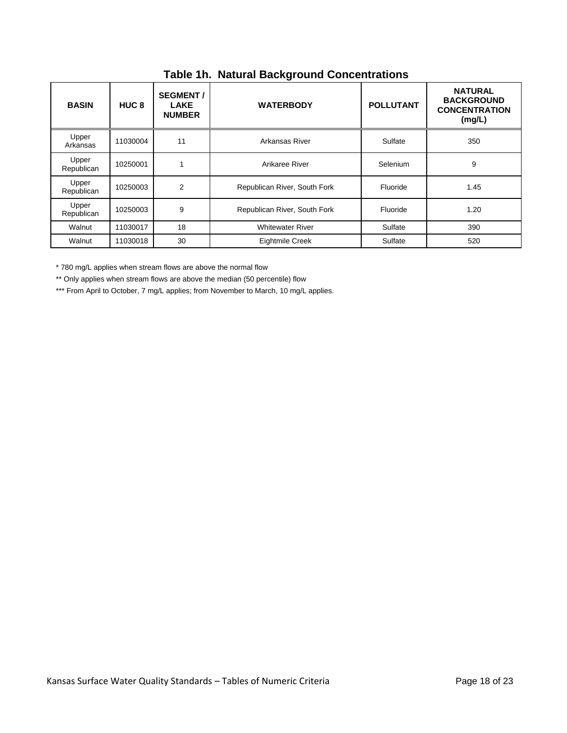| <b>BASIN</b>        | HUC <sub>8</sub> | <b>SEGMENT /</b><br><b>LAKE</b><br><b>NUMBER</b> | <b>WATERBODY</b>                         | <b>POLLUTANT</b> | <b>NATURAL</b><br><b>BACKGROUND</b><br><b>CONCENTRATION</b><br>(mg/L) |
|---------------------|------------------|--------------------------------------------------|------------------------------------------|------------------|-----------------------------------------------------------------------|
| Upper<br>Arkansas   | 11030004         | 11                                               | Arkansas River                           | Sulfate          | 350                                                                   |
| Upper<br>Republican | 10250001         | 1                                                | Selenium<br>Arikaree River               |                  | 9                                                                     |
| Upper<br>Republican | 10250003         | $\overline{2}$                                   | Republican River, South Fork<br>Fluoride |                  | 1.45                                                                  |
| Upper<br>Republican | 10250003         | 9                                                | Republican River, South Fork<br>Fluoride |                  | 1.20                                                                  |
| Walnut              | 11030017         | 18                                               | <b>Whitewater River</b><br>Sulfate       |                  | 390                                                                   |
| Walnut              | 11030018         | 30                                               | Eightmile Creek                          | 520              |                                                                       |

**Table 1h. Natural Background Concentrations**

\* 780 mg/L applies when stream flows are above the normal flow

\*\* Only applies when stream flows are above the median (50 percentile) flow

\*\*\* From April to October, 7 mg/L applies; from November to March, 10 mg/L applies.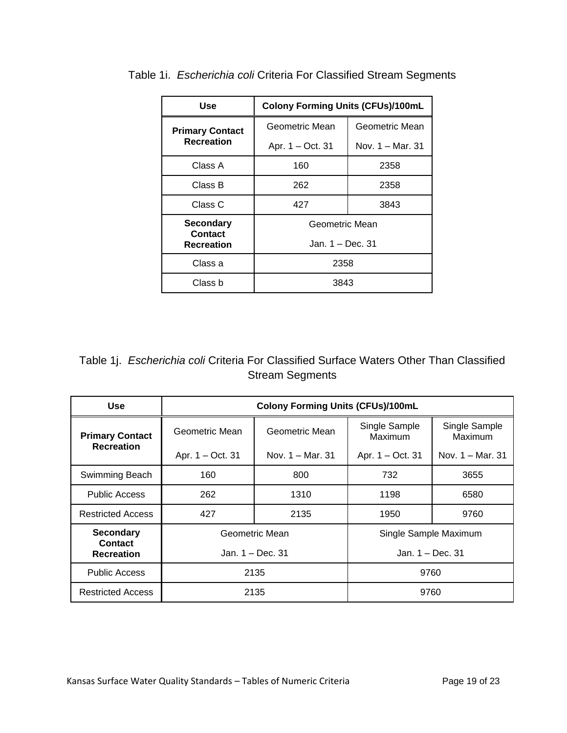| Use                                 | <b>Colony Forming Units (CFUs)/100mL</b> |                  |  |  |
|-------------------------------------|------------------------------------------|------------------|--|--|
| <b>Primary Contact</b>              | Geometric Mean                           | Geometric Mean   |  |  |
| <b>Recreation</b>                   | Apr. 1 – Oct. 31                         | Nov. 1 – Mar. 31 |  |  |
| Class A                             | 160                                      | 2358             |  |  |
| Class B                             | 262                                      | 2358             |  |  |
| Class C                             | 427                                      | 3843             |  |  |
| <b>Secondary</b>                    | Geometric Mean                           |                  |  |  |
| <b>Contact</b><br><b>Recreation</b> | Jan. 1 – Dec. 31                         |                  |  |  |
| Class a                             | 2358                                     |                  |  |  |
| Class b                             | 3843                                     |                  |  |  |

Table 1i. *Escherichia coli* Criteria For Classified Stream Segments

| Table 1j. Escherichia coli Criteria For Classified Surface Waters Other Than Classified |                        |  |  |  |
|-----------------------------------------------------------------------------------------|------------------------|--|--|--|
|                                                                                         | <b>Stream Segments</b> |  |  |  |

| <b>Use</b>                         | <b>Colony Forming Units (CFUs)/100mL</b> |                    |                          |                          |  |  |
|------------------------------------|------------------------------------------|--------------------|--------------------------|--------------------------|--|--|
| <b>Primary Contact</b>             | Geometric Mean                           | Geometric Mean     | Single Sample<br>Maximum | Single Sample<br>Maximum |  |  |
| <b>Recreation</b>                  | Apr. 1 - Oct. 31                         | Nov. $1 -$ Mar. 31 | Apr. 1 – Oct. 31         | Nov. $1 -$ Mar. 31       |  |  |
| Swimming Beach                     | 160                                      | 800                | 732                      | 3655                     |  |  |
| <b>Public Access</b>               | 262                                      | 1310               | 1198                     | 6580                     |  |  |
| <b>Restricted Access</b>           | 427                                      | 2135               | 1950                     | 9760                     |  |  |
| <b>Secondary</b><br><b>Contact</b> |                                          | Geometric Mean     | Single Sample Maximum    |                          |  |  |
| <b>Recreation</b>                  |                                          | Jan. 1 – Dec. 31   | Jan. 1 - Dec. 31         |                          |  |  |
| <b>Public Access</b>               |                                          | 2135               | 9760                     |                          |  |  |
| <b>Restricted Access</b>           |                                          | 2135               | 9760                     |                          |  |  |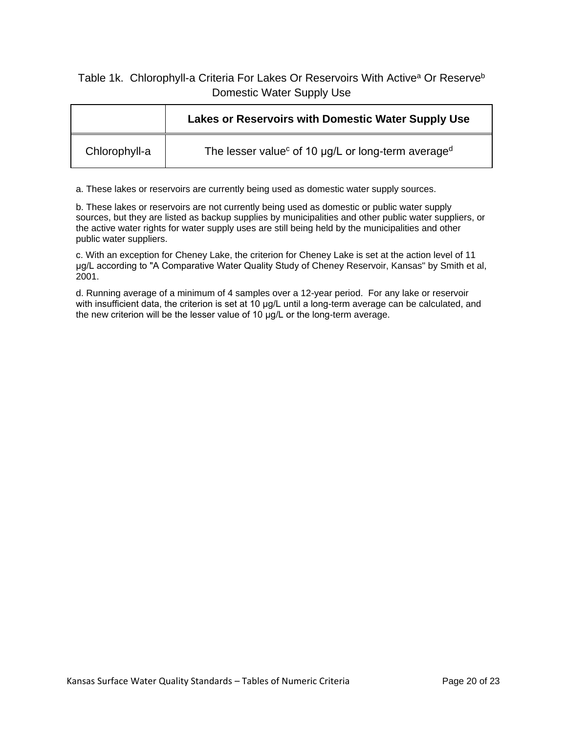#### Table 1k. Chlorophyll-a Criteria For Lakes Or Reservoirs With Active<sup>a</sup> Or Reserve<sup>b</sup> Domestic Water Supply Use

|               | Lakes or Reservoirs with Domestic Water Supply Use                         |
|---------------|----------------------------------------------------------------------------|
| Chlorophyll-a | The lesser value <sup>c</sup> of 10 µg/L or long-term average <sup>d</sup> |

a. These lakes or reservoirs are currently being used as domestic water supply sources.

b. These lakes or reservoirs are not currently being used as domestic or public water supply sources, but they are listed as backup supplies by municipalities and other public water suppliers, or the active water rights for water supply uses are still being held by the municipalities and other public water suppliers.

c. With an exception for Cheney Lake, the criterion for Cheney Lake is set at the action level of 11 μg/L according to "A Comparative Water Quality Study of Cheney Reservoir, Kansas" by Smith et al, 2001.

d. Running average of a minimum of 4 samples over a 12-year period. For any lake or reservoir with insufficient data, the criterion is set at 10 μg/L until a long-term average can be calculated, and the new criterion will be the lesser value of 10 μg/L or the long-term average.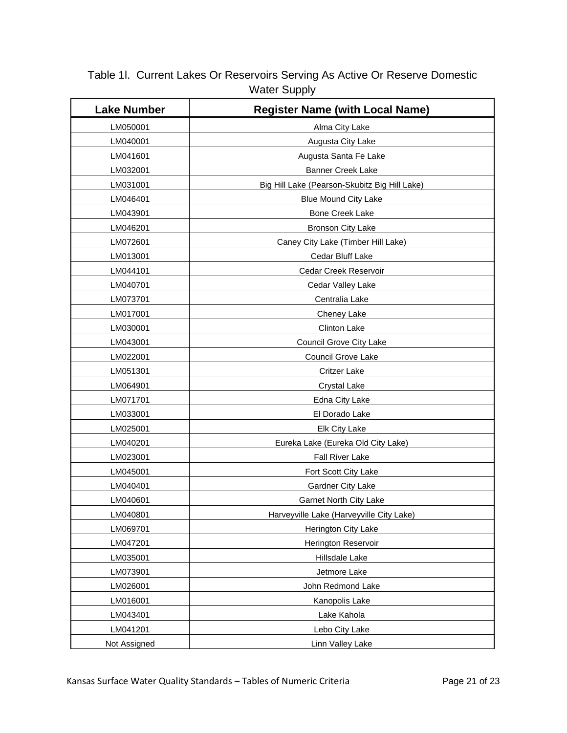#### Table 1l. Current Lakes Or Reservoirs Serving As Active Or Reserve Domestic Water Supply

| <b>Lake Number</b>               | <b>Register Name (with Local Name)</b>        |  |  |
|----------------------------------|-----------------------------------------------|--|--|
| LM050001                         | Alma City Lake                                |  |  |
| LM040001                         | Augusta City Lake                             |  |  |
| LM041601                         | Augusta Santa Fe Lake                         |  |  |
| LM032001                         | <b>Banner Creek Lake</b>                      |  |  |
| LM031001                         | Big Hill Lake (Pearson-Skubitz Big Hill Lake) |  |  |
| LM046401                         | <b>Blue Mound City Lake</b>                   |  |  |
| LM043901                         | <b>Bone Creek Lake</b>                        |  |  |
| LM046201                         | <b>Bronson City Lake</b>                      |  |  |
| LM072601                         | Caney City Lake (Timber Hill Lake)            |  |  |
| LM013001                         | Cedar Bluff Lake                              |  |  |
| LM044101                         | Cedar Creek Reservoir                         |  |  |
| LM040701                         | Cedar Valley Lake                             |  |  |
| LM073701                         | Centralia Lake                                |  |  |
| LM017001                         | Cheney Lake                                   |  |  |
| LM030001                         | Clinton Lake                                  |  |  |
| LM043001                         | Council Grove City Lake                       |  |  |
| LM022001                         | <b>Council Grove Lake</b>                     |  |  |
| LM051301                         | <b>Critzer Lake</b>                           |  |  |
| LM064901                         | <b>Crystal Lake</b>                           |  |  |
| LM071701                         | Edna City Lake                                |  |  |
| LM033001                         | El Dorado Lake                                |  |  |
| LM025001                         | Elk City Lake                                 |  |  |
| LM040201                         | Eureka Lake (Eureka Old City Lake)            |  |  |
| LM023001                         | <b>Fall River Lake</b>                        |  |  |
| LM045001                         | Fort Scott City Lake                          |  |  |
| LM040401                         | Gardner City Lake                             |  |  |
| LM040601                         | Garnet North City Lake                        |  |  |
| LM040801                         | Harveyville Lake (Harveyville City Lake)      |  |  |
| LM069701                         | Herington City Lake                           |  |  |
| LM047201                         | Herington Reservoir                           |  |  |
| LM035001                         | Hillsdale Lake                                |  |  |
| LM073901                         | Jetmore Lake                                  |  |  |
| LM026001                         | John Redmond Lake                             |  |  |
| LM016001                         | Kanopolis Lake                                |  |  |
| LM043401                         | Lake Kahola                                   |  |  |
| LM041201                         | Lebo City Lake                                |  |  |
| Not Assigned<br>Linn Valley Lake |                                               |  |  |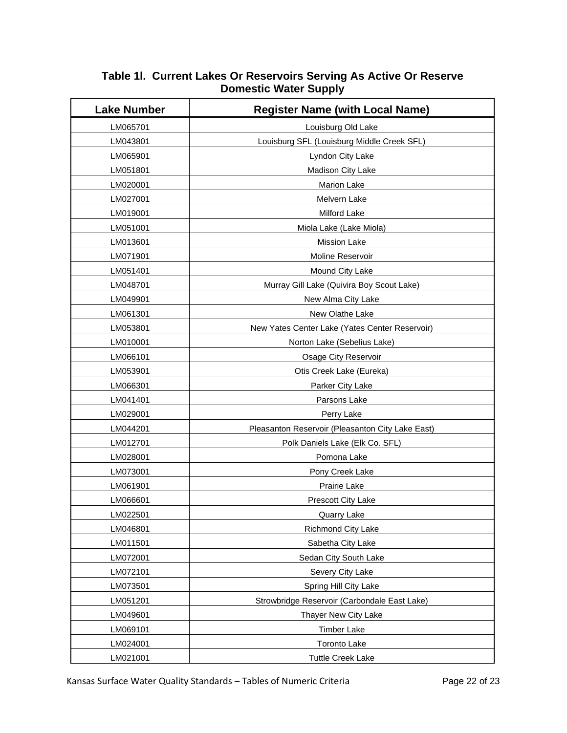| <b>Lake Number</b> | <b>Register Name (with Local Name)</b>           |  |  |
|--------------------|--------------------------------------------------|--|--|
| LM065701           | Louisburg Old Lake                               |  |  |
| LM043801           | Louisburg SFL (Louisburg Middle Creek SFL)       |  |  |
| LM065901           | Lyndon City Lake                                 |  |  |
| LM051801           | Madison City Lake                                |  |  |
| LM020001           | <b>Marion Lake</b>                               |  |  |
| LM027001           | Melvern Lake                                     |  |  |
| LM019001           | Milford Lake                                     |  |  |
| LM051001           | Miola Lake (Lake Miola)                          |  |  |
| LM013601           | <b>Mission Lake</b>                              |  |  |
| LM071901           | Moline Reservoir                                 |  |  |
| LM051401           | Mound City Lake                                  |  |  |
| LM048701           | Murray Gill Lake (Quivira Boy Scout Lake)        |  |  |
| LM049901           | New Alma City Lake                               |  |  |
| LM061301           | New Olathe Lake                                  |  |  |
| LM053801           | New Yates Center Lake (Yates Center Reservoir)   |  |  |
| LM010001           | Norton Lake (Sebelius Lake)                      |  |  |
| LM066101           | Osage City Reservoir                             |  |  |
| LM053901           | Otis Creek Lake (Eureka)                         |  |  |
| LM066301           | Parker City Lake                                 |  |  |
| LM041401           | Parsons Lake                                     |  |  |
| LM029001           | Perry Lake                                       |  |  |
| LM044201           | Pleasanton Reservoir (Pleasanton City Lake East) |  |  |
| LM012701           | Polk Daniels Lake (Elk Co. SFL)                  |  |  |
| LM028001           | Pomona Lake                                      |  |  |
| LM073001           | Pony Creek Lake                                  |  |  |
| LM061901           | Prairie Lake                                     |  |  |
| LM066601           | Prescott City Lake                               |  |  |
| LM022501           | Quarry Lake                                      |  |  |
| LM046801           | Richmond City Lake                               |  |  |
| LM011501           | Sabetha City Lake                                |  |  |
| LM072001           | Sedan City South Lake                            |  |  |
| LM072101           | Severy City Lake                                 |  |  |
| LM073501           | Spring Hill City Lake                            |  |  |
| LM051201           | Strowbridge Reservoir (Carbondale East Lake)     |  |  |
| LM049601           | Thayer New City Lake                             |  |  |
| LM069101           | <b>Timber Lake</b>                               |  |  |
| LM024001           | <b>Toronto Lake</b>                              |  |  |
| LM021001           | <b>Tuttle Creek Lake</b>                         |  |  |

#### **Table 1l. Current Lakes Or Reservoirs Serving As Active Or Reserve Domestic Water Supply**